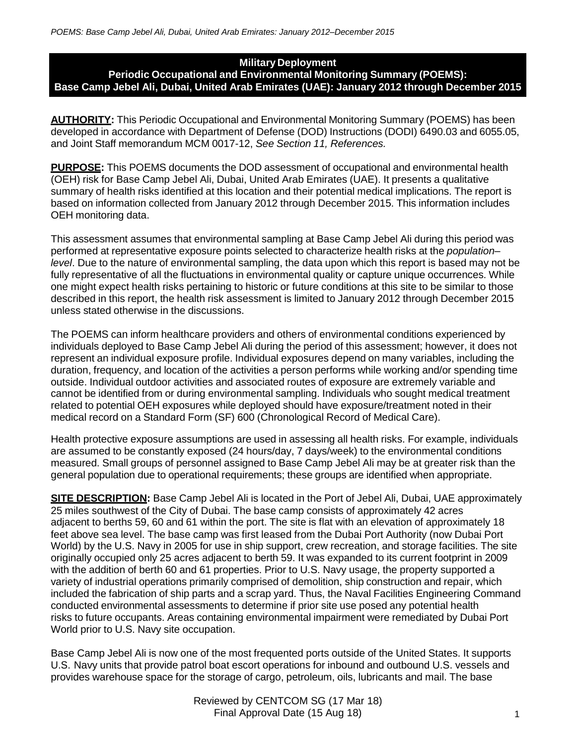## **Military Deployment Periodic Occupational and Environmental Monitoring Summary (POEMS): Base Camp Jebel Ali, Dubai, United Arab Emirates (UAE): January 2012 through December 2015**

**AUTHORITY:** This Periodic Occupational and Environmental Monitoring Summary (POEMS) has been developed in accordance with Department of Defense (DOD) Instructions (DODI) 6490.03 and 6055.05, and Joint Staff memorandum MCM 0017-12, *See Section 11, References.*

**PURPOSE:** This POEMS documents the DOD assessment of occupational and environmental health (OEH) risk for Base Camp Jebel Ali, Dubai, United Arab Emirates (UAE). It presents a qualitative summary of health risks identified at this location and their potential medical implications. The report is based on information collected from January 2012 through December 2015. This information includes OEH monitoring data.

This assessment assumes that environmental sampling at Base Camp Jebel Ali during this period was performed at representative exposure points selected to characterize health risks at the *population– level*. Due to the nature of environmental sampling, the data upon which this report is based may not be fully representative of all the fluctuations in environmental quality or capture unique occurrences. While one might expect health risks pertaining to historic or future conditions at this site to be similar to those described in this report, the health risk assessment is limited to January 2012 through December 2015 unless stated otherwise in the discussions.

The POEMS can inform healthcare providers and others of environmental conditions experienced by individuals deployed to Base Camp Jebel Ali during the period of this assessment; however, it does not represent an individual exposure profile. Individual exposures depend on many variables, including the duration, frequency, and location of the activities a person performs while working and/or spending time outside. Individual outdoor activities and associated routes of exposure are extremely variable and cannot be identified from or during environmental sampling. Individuals who sought medical treatment related to potential OEH exposures while deployed should have exposure/treatment noted in their medical record on a Standard Form (SF) 600 (Chronological Record of Medical Care).

Health protective exposure assumptions are used in assessing all health risks. For example, individuals are assumed to be constantly exposed (24 hours/day, 7 days/week) to the environmental conditions measured. Small groups of personnel assigned to Base Camp Jebel Ali may be at greater risk than the general population due to operational requirements; these groups are identified when appropriate.

**SITE DESCRIPTION:** Base Camp Jebel Ali is located in the Port of Jebel Ali, Dubai, UAE approximately 25 miles southwest of the City of Dubai. The base camp consists of approximately 42 acres adjacent to berths 59, 60 and 61 within the port. The site is flat with an elevation of approximately 18 feet above sea level. The base camp was first leased from the Dubai Port Authority (now Dubai Port World) by the U.S. Navy in 2005 for use in ship support, crew recreation, and storage facilities. The site originally occupied only 25 acres adjacent to berth 59. It was expanded to its current footprint in 2009 with the addition of berth 60 and 61 properties. Prior to U.S. Navy usage, the property supported a variety of industrial operations primarily comprised of demolition, ship construction and repair, which included the fabrication of ship parts and a scrap yard. Thus, the Naval Facilities Engineering Command conducted environmental assessments to determine if prior site use posed any potential health risks to future occupants. Areas containing environmental impairment were remediated by Dubai Port World prior to U.S. Navy site occupation.

Base Camp Jebel Ali is now one of the most frequented ports outside of the United States. It supports U.S. Navy units that provide patrol boat escort operations for inbound and outbound U.S. vessels and provides warehouse space for the storage of cargo, petroleum, oils, lubricants and mail. The base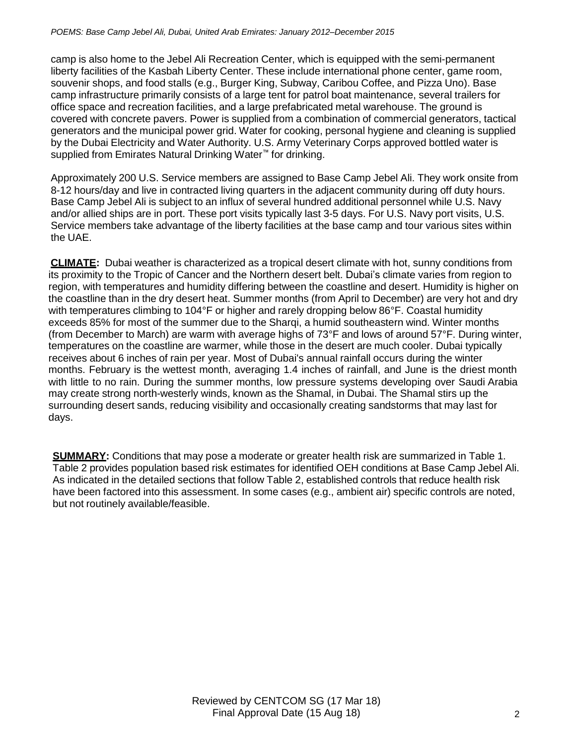camp is also home to the Jebel Ali Recreation Center, which is equipped with the semi-permanent liberty facilities of the Kasbah Liberty Center. These include international phone center, game room, souvenir shops, and food stalls (e.g., Burger King, Subway, Caribou Coffee, and Pizza Uno). Base camp infrastructure primarily consists of a large tent for patrol boat maintenance, several trailers for office space and recreation facilities, and a large prefabricated metal warehouse. The ground is covered with concrete pavers. Power is supplied from a combination of commercial generators, tactical generators and the municipal power grid. Water for cooking, personal hygiene and cleaning is supplied by the Dubai Electricity and Water Authority. U.S. Army Veterinary Corps approved bottled water is supplied from Emirates Natural Drinking Water<sup>™</sup> for drinking.

Approximately 200 U.S. Service members are assigned to Base Camp Jebel Ali. They work onsite from 8-12 hours/day and live in contracted living quarters in the adjacent community during off duty hours. Base Camp Jebel Ali is subject to an influx of several hundred additional personnel while U.S. Navy and/or allied ships are in port. These port visits typically last 3-5 days. For U.S. Navy port visits, U.S. Service members take advantage of the liberty facilities at the base camp and tour various sites within the UAE.

**CLIMATE:** Dubai weather is characterized as a tropical desert climate with hot, sunny conditions from its proximity to the Tropic of Cancer and the Northern desert belt. Dubai's climate varies from region to region, with temperatures and humidity differing between the coastline and desert. Humidity is higher on the coastline than in the dry desert heat. Summer months (from April to December) are very hot and dry with temperatures climbing to 104°F or higher and rarely dropping below 86°F. Coastal humidity exceeds 85% for most of the summer due to the Sharqi, a humid southeastern wind. Winter months (from December to March) are warm with average highs of 73°F and lows of around 57°F. During winter, temperatures on the coastline are warmer, while those in the desert are much cooler. Dubai typically receives about 6 inches of rain per year. Most of Dubai's annual rainfall occurs during the winter months. February is the wettest month, averaging 1.4 inches of rainfall, and June is the driest month with little to no rain. During the summer months, low pressure systems developing over Saudi Arabia may create strong north-westerly winds, known as the Shamal, in Dubai. The Shamal stirs up the surrounding desert sands, reducing visibility and occasionally creating sandstorms that may last for days.

**SUMMARY:** Conditions that may pose a moderate or greater health risk are summarized in Table 1. Table 2 provides population based risk estimates for identified OEH conditions at Base Camp Jebel Ali. As indicated in the detailed sections that follow Table 2, established controls that reduce health risk have been factored into this assessment. In some cases (e.g., ambient air) specific controls are noted, but not routinely available/feasible.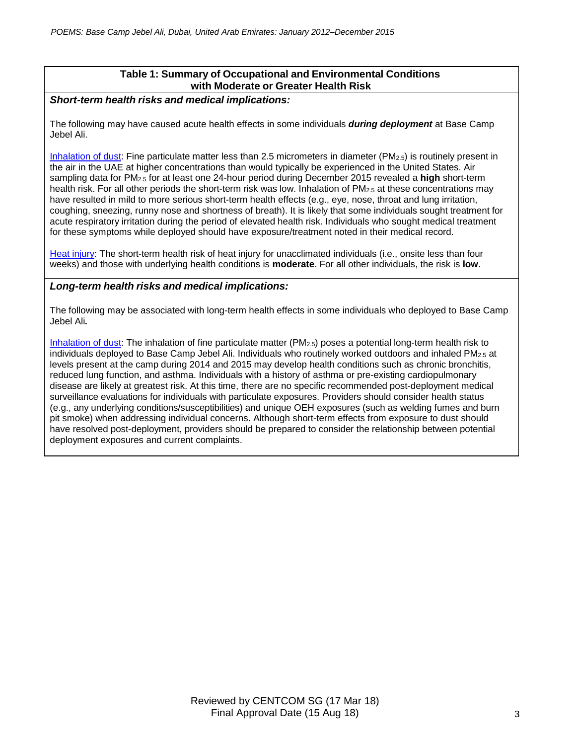# **Table 1: Summary of Occupational and Environmental Conditions with Moderate or Greater Health Risk**

## *Short-term health risks and medical implications:*

The following may have caused acute health effects in some individuals *during deployment* at Base Camp Jebel Ali.

Inhalation of dust: Fine particulate matter less than 2.5 micrometers in diameter (PM2.5) is routinely present in the air in the UAE at higher concentrations than would typically be experienced in the United States. Air sampling data for PM2.5 for at least one 24-hour period during December 2015 revealed a **high** short-term health risk. For all other periods the short-term risk was low. Inhalation of PM<sub>2.5</sub> at these concentrations may have resulted in mild to more serious short-term health effects (e.g., eye, nose, throat and lung irritation, coughing, sneezing, runny nose and shortness of breath). It is likely that some individuals sought treatment for acute respiratory irritation during the period of elevated health risk. Individuals who sought medical treatment for these symptoms while deployed should have exposure/treatment noted in their medical record.

Heat injury: The short-term health risk of heat injury for unacclimated individuals (i.e., onsite less than four weeks) and those with underlying health conditions is **moderate**. For all other individuals, the risk is **low**.

## *Long-term health risks and medical implications:*

The following may be associated with long-term health effects in some individuals who deployed to Base Camp Jebel Ali*.*

Inhalation of dust: The inhalation of fine particulate matter (PM2.5) poses a potential long-term health risk to individuals deployed to Base Camp Jebel Ali. Individuals who routinely worked outdoors and inhaled PM<sub>2.5</sub> at levels present at the camp during 2014 and 2015 may develop health conditions such as chronic bronchitis, reduced lung function, and asthma. Individuals with a history of asthma or pre-existing cardiopulmonary disease are likely at greatest risk. At this time, there are no specific recommended post-deployment medical surveillance evaluations for individuals with particulate exposures. Providers should consider health status (e.g., any underlying conditions/susceptibilities) and unique OEH exposures (such as welding fumes and burn pit smoke) when addressing individual concerns. Although short-term effects from exposure to dust should have resolved post-deployment, providers should be prepared to consider the relationship between potential deployment exposures and current complaints.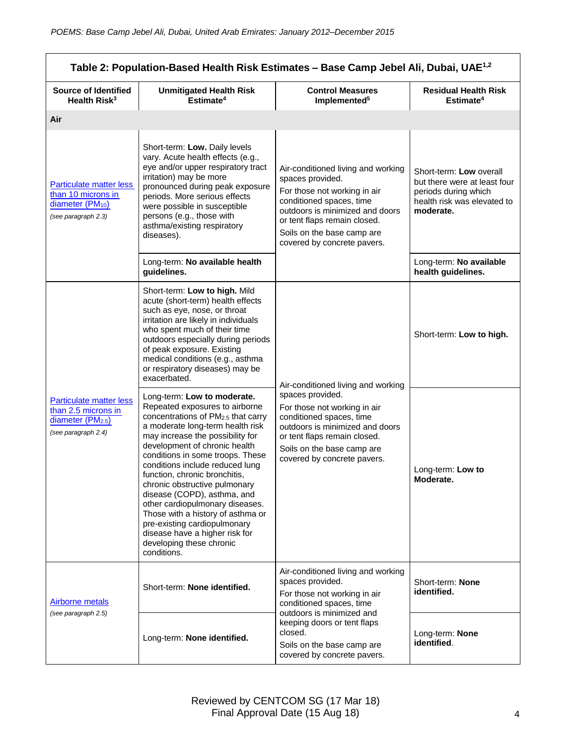| Table 2: Population-Based Health Risk Estimates - Base Camp Jebel Ali, Dubai, UAE <sup>1,2</sup>              |                                                                                                                                                                                                                                                                                                                                                                                                                                                                                                                                                                           |                                                                                                                                                                                                                                                        |                                                                                                                             |
|---------------------------------------------------------------------------------------------------------------|---------------------------------------------------------------------------------------------------------------------------------------------------------------------------------------------------------------------------------------------------------------------------------------------------------------------------------------------------------------------------------------------------------------------------------------------------------------------------------------------------------------------------------------------------------------------------|--------------------------------------------------------------------------------------------------------------------------------------------------------------------------------------------------------------------------------------------------------|-----------------------------------------------------------------------------------------------------------------------------|
| <b>Source of Identified</b><br>Health Risk <sup>3</sup>                                                       | <b>Unmitigated Health Risk</b><br>Estimate <sup>4</sup>                                                                                                                                                                                                                                                                                                                                                                                                                                                                                                                   | <b>Control Measures</b><br>Implemented <sup>5</sup>                                                                                                                                                                                                    | <b>Residual Health Risk</b><br>Estimate <sup>4</sup>                                                                        |
| Air                                                                                                           |                                                                                                                                                                                                                                                                                                                                                                                                                                                                                                                                                                           |                                                                                                                                                                                                                                                        |                                                                                                                             |
| <b>Particulate matter less</b><br>than 10 microns in<br>diameter (PM <sub>10</sub> )<br>(see paragraph 2.3)   | Short-term: Low. Daily levels<br>vary. Acute health effects (e.g.,<br>eye and/or upper respiratory tract<br>irritation) may be more<br>pronounced during peak exposure<br>periods. More serious effects<br>were possible in susceptible<br>persons (e.g., those with<br>asthma/existing respiratory<br>diseases).                                                                                                                                                                                                                                                         | Air-conditioned living and working<br>spaces provided.<br>For those not working in air<br>conditioned spaces, time<br>outdoors is minimized and doors<br>or tent flaps remain closed.<br>Soils on the base camp are<br>covered by concrete pavers.     | Short-term: Low overall<br>but there were at least four<br>periods during which<br>health risk was elevated to<br>moderate. |
|                                                                                                               | Long-term: No available health<br>guidelines.                                                                                                                                                                                                                                                                                                                                                                                                                                                                                                                             |                                                                                                                                                                                                                                                        | Long-term: No available<br>health guidelines.                                                                               |
| <b>Particulate matter less</b><br>than 2.5 microns in<br>diameter (PM <sub>2.5</sub> )<br>(see paragraph 2.4) | Short-term: Low to high. Mild<br>acute (short-term) health effects<br>such as eye, nose, or throat<br>irritation are likely in individuals<br>who spent much of their time<br>outdoors especially during periods<br>of peak exposure. Existing<br>medical conditions (e.g., asthma<br>or respiratory diseases) may be<br>exacerbated.                                                                                                                                                                                                                                     | Air-conditioned living and working<br>spaces provided.<br>For those not working in air<br>conditioned spaces, time<br>outdoors is minimized and doors<br>or tent flaps remain closed.<br>Soils on the base camp are<br>covered by concrete pavers.     | Short-term: Low to high.                                                                                                    |
|                                                                                                               | Long-term: Low to moderate.<br>Repeated exposures to airborne<br>concentrations of PM2.5 that carry<br>a moderate long-term health risk<br>may increase the possibility for<br>development of chronic health<br>conditions in some troops. These<br>conditions include reduced lung<br>function, chronic bronchitis,<br>chronic obstructive pulmonary<br>disease (COPD), asthma, and<br>other cardiopulmonary diseases.<br>Those with a history of asthma or<br>pre-existing cardiopulmonary<br>disease have a higher risk for<br>developing these chronic<br>conditions. |                                                                                                                                                                                                                                                        | Long-term: Low to<br>Moderate.                                                                                              |
| <b>Airborne metals</b><br>(see paragraph 2.5)                                                                 | Short-term: None identified.                                                                                                                                                                                                                                                                                                                                                                                                                                                                                                                                              | Air-conditioned living and working<br>spaces provided.<br>For those not working in air<br>conditioned spaces, time<br>outdoors is minimized and<br>keeping doors or tent flaps<br>closed.<br>Soils on the base camp are<br>covered by concrete pavers. | Short-term: None<br>identified.                                                                                             |
|                                                                                                               | Long-term: None identified.                                                                                                                                                                                                                                                                                                                                                                                                                                                                                                                                               |                                                                                                                                                                                                                                                        | Long-term: None<br>identified.                                                                                              |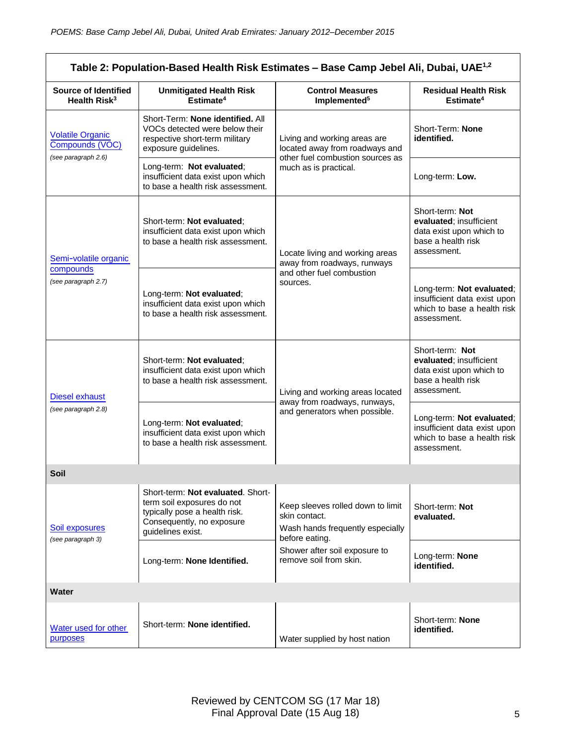| Table 2: Population-Based Health Risk Estimates - Base Camp Jebel Ali, Dubai, UAE <sup>1,2</sup> |                                                                                                                                                    |                                                                                                          |                                                                                                             |
|--------------------------------------------------------------------------------------------------|----------------------------------------------------------------------------------------------------------------------------------------------------|----------------------------------------------------------------------------------------------------------|-------------------------------------------------------------------------------------------------------------|
| <b>Source of Identified</b><br>Health Risk <sup>3</sup>                                          | <b>Unmitigated Health Risk</b><br>Estimate <sup>4</sup>                                                                                            | <b>Control Measures</b><br>Implemented <sup>5</sup>                                                      | <b>Residual Health Risk</b><br>Estimate <sup>4</sup>                                                        |
| <b>Volatile Organic</b><br>Compounds (VOC)<br>(see paragraph 2.6)                                | Short-Term: None identified. All<br>VOCs detected were below their<br>respective short-term military<br>exposure guidelines.                       | Living and working areas are<br>located away from roadways and                                           | Short-Term: None<br>identified.                                                                             |
|                                                                                                  | Long-term: Not evaluated;<br>insufficient data exist upon which<br>to base a health risk assessment.                                               | other fuel combustion sources as<br>much as is practical.                                                | Long-term: Low.                                                                                             |
| Semi-volatile organic<br>compounds<br>(see paragraph 2.7)                                        | Short-term: Not evaluated;<br>insufficient data exist upon which<br>to base a health risk assessment.                                              | Locate living and working areas<br>away from roadways, runways                                           | Short-term: Not<br>evaluated; insufficient<br>data exist upon which to<br>base a health risk<br>assessment. |
|                                                                                                  | Long-term: Not evaluated;<br>insufficient data exist upon which<br>to base a health risk assessment.                                               | and other fuel combustion<br>sources.                                                                    | Long-term: Not evaluated;<br>insufficient data exist upon<br>which to base a health risk<br>assessment.     |
| <b>Diesel exhaust</b><br>(see paragraph 2.8)                                                     | Short-term: Not evaluated;<br>insufficient data exist upon which<br>to base a health risk assessment.                                              | Living and working areas located                                                                         | Short-term: Not<br>evaluated; insufficient<br>data exist upon which to<br>base a health risk<br>assessment. |
|                                                                                                  | Long-term: Not evaluated;<br>insufficient data exist upon which<br>to base a health risk assessment.                                               | away from roadways, runways,<br>and generators when possible.                                            | Long-term: Not evaluated;<br>insufficient data exist upon<br>which to base a health risk<br>assessment.     |
| <b>Soil</b>                                                                                      |                                                                                                                                                    |                                                                                                          |                                                                                                             |
| Soil exposures<br>(see paragraph 3)                                                              | Short-term: Not evaluated. Short-<br>term soil exposures do not<br>typically pose a health risk.<br>Consequently, no exposure<br>guidelines exist. | Keep sleeves rolled down to limit<br>skin contact.<br>Wash hands frequently especially<br>before eating. | Short-term: Not<br>evaluated.                                                                               |
|                                                                                                  | Long-term: None Identified.                                                                                                                        | Shower after soil exposure to<br>remove soil from skin.                                                  | Long-term: None<br>identified.                                                                              |
| Water                                                                                            |                                                                                                                                                    |                                                                                                          |                                                                                                             |
| Water used for other<br>purposes                                                                 | Short-term: None identified.                                                                                                                       | Water supplied by host nation                                                                            | Short-term: None<br>identified.                                                                             |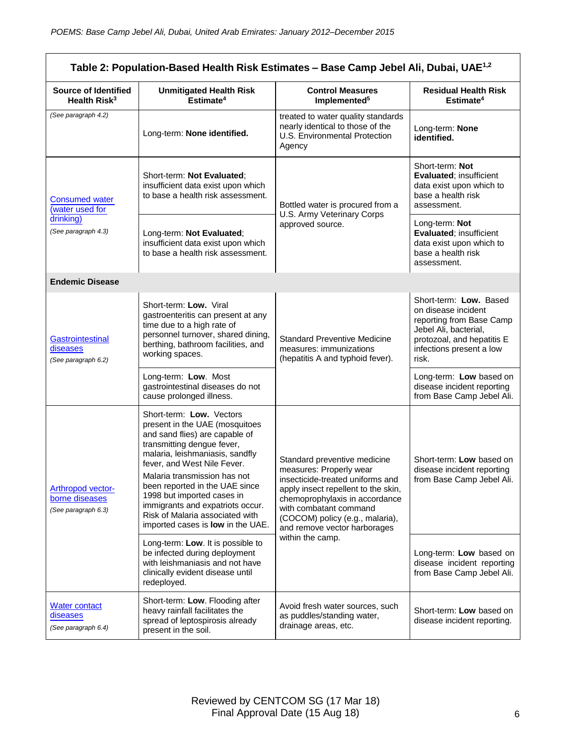| Table 2: Population-Based Health Risk Estimates - Base Camp Jebel Ali, Dubai, UAE <sup>1,2</sup> |                                                                                                                                                                                                                                                                                                                                                                                                          |                                                                                                                                                                                                                                                                   |                                                                                                                                                                       |
|--------------------------------------------------------------------------------------------------|----------------------------------------------------------------------------------------------------------------------------------------------------------------------------------------------------------------------------------------------------------------------------------------------------------------------------------------------------------------------------------------------------------|-------------------------------------------------------------------------------------------------------------------------------------------------------------------------------------------------------------------------------------------------------------------|-----------------------------------------------------------------------------------------------------------------------------------------------------------------------|
| <b>Source of Identified</b><br>Health Risk <sup>3</sup>                                          | <b>Unmitigated Health Risk</b><br>Estimate <sup>4</sup>                                                                                                                                                                                                                                                                                                                                                  | <b>Control Measures</b><br>Implemented <sup>5</sup>                                                                                                                                                                                                               | <b>Residual Health Risk</b><br>Estimate <sup>4</sup>                                                                                                                  |
| (See paragraph 4.2)                                                                              | Long-term: None identified.                                                                                                                                                                                                                                                                                                                                                                              | treated to water quality standards<br>nearly identical to those of the<br>U.S. Environmental Protection<br>Agency                                                                                                                                                 | Long-term: None<br>identified.                                                                                                                                        |
| <b>Consumed water</b><br>water used for<br>drinking)<br>(See paragraph 4.3)                      | Short-term: Not Evaluated;<br>insufficient data exist upon which<br>to base a health risk assessment.                                                                                                                                                                                                                                                                                                    | Bottled water is procured from a<br>U.S. Army Veterinary Corps<br>approved source.                                                                                                                                                                                | Short-term: Not<br><b>Evaluated: insufficient</b><br>data exist upon which to<br>base a health risk<br>assessment.                                                    |
|                                                                                                  | Long-term: Not Evaluated;<br>insufficient data exist upon which<br>to base a health risk assessment.                                                                                                                                                                                                                                                                                                     |                                                                                                                                                                                                                                                                   | Long-term: Not<br>Evaluated; insufficient<br>data exist upon which to<br>base a health risk<br>assessment.                                                            |
| <b>Endemic Disease</b>                                                                           |                                                                                                                                                                                                                                                                                                                                                                                                          |                                                                                                                                                                                                                                                                   |                                                                                                                                                                       |
| Gastrointestinal<br>diseases<br>(See paragraph 6.2)                                              | Short-term: Low. Viral<br>gastroenteritis can present at any<br>time due to a high rate of<br>personnel turnover, shared dining,<br>berthing, bathroom facilities, and<br>working spaces.                                                                                                                                                                                                                | <b>Standard Preventive Medicine</b><br>measures: immunizations<br>(hepatitis A and typhoid fever).                                                                                                                                                                | Short-term: Low. Based<br>on disease incident<br>reporting from Base Camp<br>Jebel Ali, bacterial,<br>protozoal, and hepatitis E<br>infections present a low<br>risk. |
|                                                                                                  | Long-term: Low. Most<br>gastrointestinal diseases do not<br>cause prolonged illness.                                                                                                                                                                                                                                                                                                                     |                                                                                                                                                                                                                                                                   | Long-term: Low based on<br>disease incident reporting<br>from Base Camp Jebel Ali.                                                                                    |
| <b>Arthropod vector-</b><br>borne diseases<br>(See paragraph 6.3)                                | Short-term: Low. Vectors<br>present in the UAE (mosquitoes<br>and sand flies) are capable of<br>transmitting dengue fever,<br>malaria, leishmaniasis, sandfly<br>fever, and West Nile Fever.<br>Malaria transmission has not<br>been reported in the UAE since<br>1998 but imported cases in<br>immigrants and expatriots occur.<br>Risk of Malaria associated with<br>imported cases is low in the UAE. | Standard preventive medicine<br>measures: Properly wear<br>insecticide-treated uniforms and<br>apply insect repellent to the skin,<br>chemoprophylaxis in accordance<br>with combatant command<br>(COCOM) policy (e.g., malaria),<br>and remove vector harborages | Short-term: Low based on<br>disease incident reporting<br>from Base Camp Jebel Ali.                                                                                   |
|                                                                                                  | Long-term: Low. It is possible to<br>be infected during deployment<br>with leishmaniasis and not have<br>clinically evident disease until<br>redeployed.                                                                                                                                                                                                                                                 | within the camp.                                                                                                                                                                                                                                                  | Long-term: Low based on<br>disease incident reporting<br>from Base Camp Jebel Ali.                                                                                    |
| <b>Water contact</b><br>diseases<br>(See paragraph 6.4)                                          | Short-term: Low. Flooding after<br>heavy rainfall facilitates the<br>spread of leptospirosis already<br>present in the soil.                                                                                                                                                                                                                                                                             | Avoid fresh water sources, such<br>as puddles/standing water,<br>drainage areas, etc.                                                                                                                                                                             | Short-term: Low based on<br>disease incident reporting.                                                                                                               |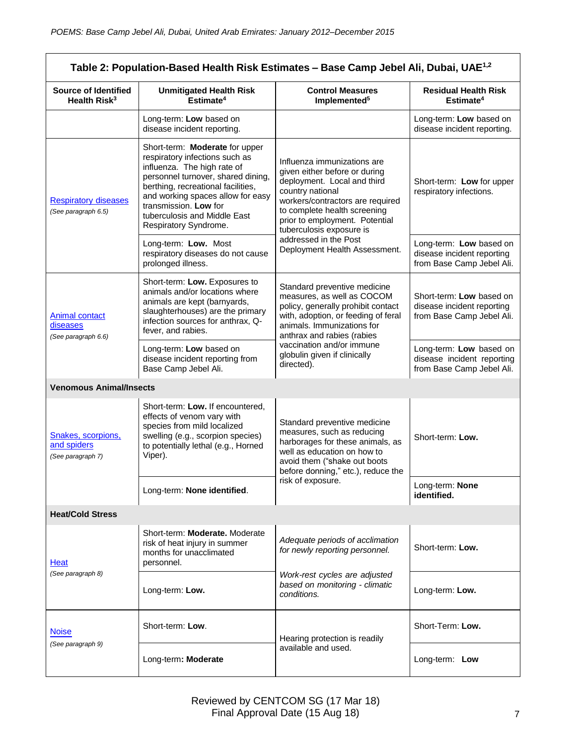| Table 2: Population-Based Health Risk Estimates - Base Camp Jebel Ali, Dubai, UAE <sup>1,2</sup> |                                                                                                                                                                                                                                                                                                    |                                                                                                                                                                                                                                                   |                                                                                     |
|--------------------------------------------------------------------------------------------------|----------------------------------------------------------------------------------------------------------------------------------------------------------------------------------------------------------------------------------------------------------------------------------------------------|---------------------------------------------------------------------------------------------------------------------------------------------------------------------------------------------------------------------------------------------------|-------------------------------------------------------------------------------------|
| <b>Source of Identified</b><br>Health Risk <sup>3</sup>                                          | <b>Unmitigated Health Risk</b><br>Estimate <sup>4</sup>                                                                                                                                                                                                                                            | <b>Control Measures</b><br>Implemented <sup>5</sup>                                                                                                                                                                                               | <b>Residual Health Risk</b><br>Estimate <sup>4</sup>                                |
|                                                                                                  | Long-term: Low based on<br>disease incident reporting.                                                                                                                                                                                                                                             |                                                                                                                                                                                                                                                   | Long-term: Low based on<br>disease incident reporting.                              |
| <b>Respiratory diseases</b><br>(See paragraph 6.5)                                               | Short-term: Moderate for upper<br>respiratory infections such as<br>influenza. The high rate of<br>personnel turnover, shared dining,<br>berthing, recreational facilities,<br>and working spaces allow for easy<br>transmission. Low for<br>tuberculosis and Middle East<br>Respiratory Syndrome. | Influenza immunizations are<br>given either before or during<br>deployment. Local and third<br>country national<br>workers/contractors are required<br>to complete health screening<br>prior to employment. Potential<br>tuberculosis exposure is | Short-term: Low for upper<br>respiratory infections.                                |
|                                                                                                  | Long-term: Low. Most<br>respiratory diseases do not cause<br>prolonged illness.                                                                                                                                                                                                                    | addressed in the Post<br>Deployment Health Assessment.                                                                                                                                                                                            | Long-term: Low based on<br>disease incident reporting<br>from Base Camp Jebel Ali.  |
| <b>Animal contact</b><br>diseases<br>(See paragraph 6.6)                                         | Short-term: Low. Exposures to<br>animals and/or locations where<br>animals are kept (barnyards,<br>slaughterhouses) are the primary<br>infection sources for anthrax, Q-<br>fever, and rabies.                                                                                                     | Standard preventive medicine<br>measures, as well as COCOM<br>policy, generally prohibit contact<br>with, adoption, or feeding of feral<br>animals. Immunizations for<br>anthrax and rabies (rabies                                               | Short-term: Low based on<br>disease incident reporting<br>from Base Camp Jebel Ali. |
|                                                                                                  | Long-term: Low based on<br>disease incident reporting from<br>Base Camp Jebel Ali.                                                                                                                                                                                                                 | vaccination and/or immune<br>globulin given if clinically<br>directed).                                                                                                                                                                           | Long-term: Low based on<br>disease incident reporting<br>from Base Camp Jebel Ali.  |
| <b>Venomous Animal/Insects</b>                                                                   |                                                                                                                                                                                                                                                                                                    |                                                                                                                                                                                                                                                   |                                                                                     |
| Snakes, scorpions,<br>and spiders<br>(See paragraph 7)                                           | Short-term: Low. If encountered,<br>effects of venom vary with<br>species from mild localized<br>swelling (e.g., scorpion species)<br>to potentially lethal (e.g., Horned<br>Viper).                                                                                                               | Standard preventive medicine<br>measures, such as reducing<br>harborages for these animals, as<br>well as education on how to<br>avoid them ("shake out boots<br>before donning," etc.), reduce the                                               | Short-term: Low.                                                                    |
|                                                                                                  | Long-term: None identified.                                                                                                                                                                                                                                                                        | risk of exposure.                                                                                                                                                                                                                                 | Long-term: None<br>identified.                                                      |
| <b>Heat/Cold Stress</b>                                                                          |                                                                                                                                                                                                                                                                                                    |                                                                                                                                                                                                                                                   |                                                                                     |
| Heat<br>(See paragraph 8)                                                                        | Short-term: Moderate. Moderate<br>risk of heat injury in summer<br>months for unacclimated<br>personnel.                                                                                                                                                                                           | Adequate periods of acclimation<br>for newly reporting personnel.                                                                                                                                                                                 | Short-term: Low.                                                                    |
|                                                                                                  | Long-term: Low.                                                                                                                                                                                                                                                                                    | Work-rest cycles are adjusted<br>based on monitoring - climatic<br>conditions.                                                                                                                                                                    | Long-term: Low.                                                                     |
| <b>Noise</b><br>(See paragraph 9)                                                                | Short-term: Low.                                                                                                                                                                                                                                                                                   | Hearing protection is readily                                                                                                                                                                                                                     | Short-Term: Low.                                                                    |
|                                                                                                  | Long-term: Moderate                                                                                                                                                                                                                                                                                | available and used.                                                                                                                                                                                                                               | Long-term: Low                                                                      |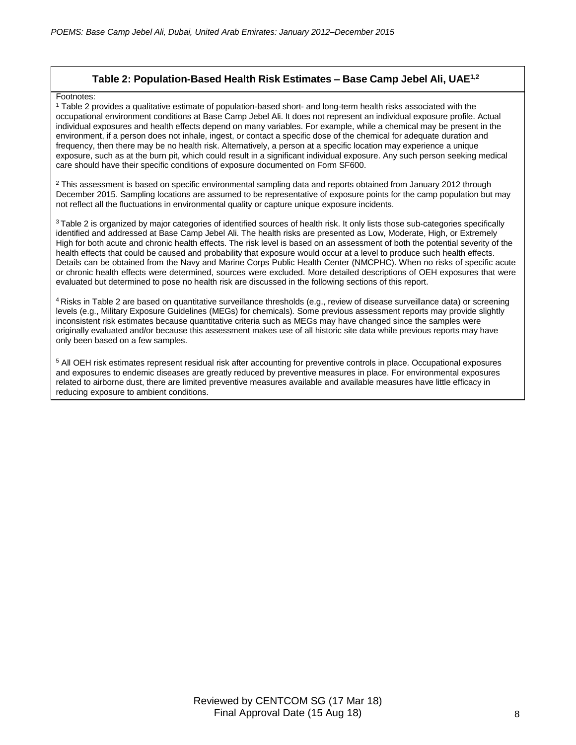### **Table 2: Population-Based Health Risk Estimates – Base Camp Jebel Ali, UAE1,2**

#### Footnotes:

<sup>1</sup> Table 2 provides a qualitative estimate of population-based short- and long-term health risks associated with the occupational environment conditions at Base Camp Jebel Ali. It does not represent an individual exposure profile. Actual individual exposures and health effects depend on many variables. For example, while a chemical may be present in the environment, if a person does not inhale, ingest, or contact a specific dose of the chemical for adequate duration and frequency, then there may be no health risk. Alternatively, a person at a specific location may experience a unique exposure, such as at the burn pit, which could result in a significant individual exposure. Any such person seeking medical care should have their specific conditions of exposure documented on Form SF600.

 $2$  This assessment is based on specific environmental sampling data and reports obtained from January 2012 through December 2015. Sampling locations are assumed to be representative of exposure points for the camp population but may not reflect all the fluctuations in environmental quality or capture unique exposure incidents.

<sup>3</sup> Table 2 is organized by major categories of identified sources of health risk. It only lists those sub-categories specifically identified and addressed at Base Camp Jebel Ali. The health risks are presented as Low, Moderate, High, or Extremely High for both acute and chronic health effects. The risk level is based on an assessment of both the potential severity of the health effects that could be caused and probability that exposure would occur at a level to produce such health effects. Details can be obtained from the Navy and Marine Corps Public Health Center (NMCPHC). When no risks of specific acute or chronic health effects were determined, sources were excluded. More detailed descriptions of OEH exposures that were evaluated but determined to pose no health risk are discussed in the following sections of this report.

<sup>4</sup> Risks in Table 2 are based on quantitative surveillance thresholds (e.g., review of disease surveillance data) or screening levels (e.g., Military Exposure Guidelines (MEGs) for chemicals)*.* Some previous assessment reports may provide slightly inconsistent risk estimates because quantitative criteria such as MEGs may have changed since the samples were originally evaluated and/or because this assessment makes use of all historic site data while previous reports may have only been based on a few samples.

<sup>5</sup> All OEH risk estimates represent residual risk after accounting for preventive controls in place. Occupational exposures and exposures to endemic diseases are greatly reduced by preventive measures in place. For environmental exposures related to airborne dust, there are limited preventive measures available and available measures have little efficacy in reducing exposure to ambient conditions.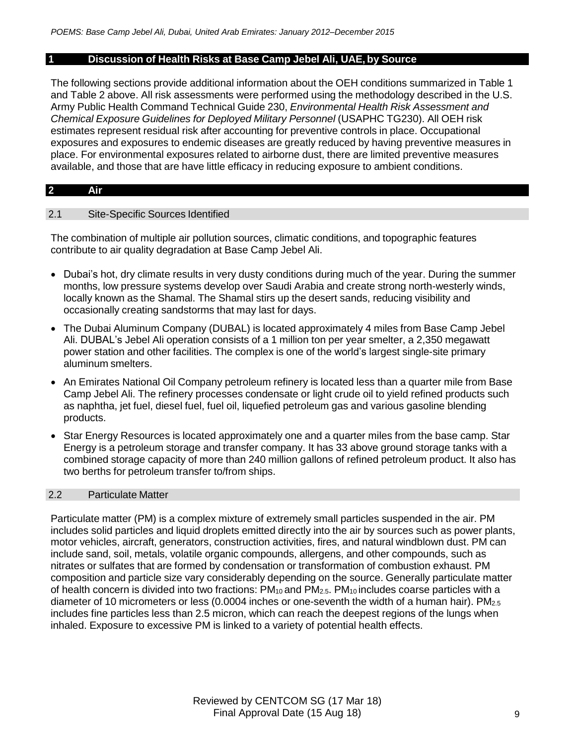### **1 Discussion of Health Risks at Base Camp Jebel Ali, UAE, by Source**

The following sections provide additional information about the OEH conditions summarized in Table 1 and Table 2 above. All risk assessments were performed using the methodology described in the U.S. Army Public Health Command Technical Guide 230, *Environmental Health Risk Assessment and Chemical Exposure Guidelines for Deployed Military Personnel* (USAPHC TG230). All OEH risk estimates represent residual risk after accounting for preventive controls in place. Occupational exposures and exposures to endemic diseases are greatly reduced by having preventive measures in place. For environmental exposures related to airborne dust, there are limited preventive measures available, and those that are have little efficacy in reducing exposure to ambient conditions.

#### **2 Air**

### 2.1 Site-Specific Sources Identified

The combination of multiple air pollution sources, climatic conditions, and topographic features contribute to air quality degradation at Base Camp Jebel Ali.

- Dubai's hot, dry climate results in very dusty conditions during much of the year. During the summer months, low pressure systems develop over Saudi Arabia and create strong north-westerly winds, locally known as the Shamal. The Shamal stirs up the desert sands, reducing visibility and occasionally creating sandstorms that may last for days.
- The Dubai Aluminum Company (DUBAL) is located approximately 4 miles from Base Camp Jebel Ali. DUBAL's Jebel Ali operation consists of a 1 million ton per year smelter, a 2,350 megawatt power station and other facilities. The complex is one of the world's largest single-site primary aluminum smelters.
- An Emirates National Oil Company petroleum refinery is located less than a quarter mile from Base Camp Jebel Ali. The refinery processes condensate or light crude oil to yield refined products such as naphtha, jet fuel, diesel fuel, fuel oil, liquefied petroleum gas and various gasoline blending products.
- Star Energy Resources is located approximately one and a quarter miles from the base camp. Star Energy is a petroleum storage and transfer company. It has 33 above ground storage tanks with a combined storage capacity of more than 240 million gallons of refined petroleum product. It also has two berths for petroleum transfer to/from ships.

## 2.2 Particulate Matter

Particulate matter (PM) is a complex mixture of extremely small particles suspended in the air. PM includes solid particles and liquid droplets emitted directly into the air by sources such as power plants, motor vehicles, aircraft, generators, construction activities, fires, and natural windblown dust. PM can include sand, soil, metals, volatile organic compounds, allergens, and other compounds, such as nitrates or sulfates that are formed by condensation or transformation of combustion exhaust. PM composition and particle size vary considerably depending on the source. Generally particulate matter of health concern is divided into two fractions: PM<sub>10</sub> and PM<sub>2.5</sub>. PM<sub>10</sub> includes coarse particles with a diameter of 10 micrometers or less (0.0004 inches or one-seventh the width of a human hair). PM<sub>2.5</sub> includes fine particles less than 2.5 micron, which can reach the deepest regions of the lungs when inhaled. Exposure to excessive PM is linked to a variety of potential health effects.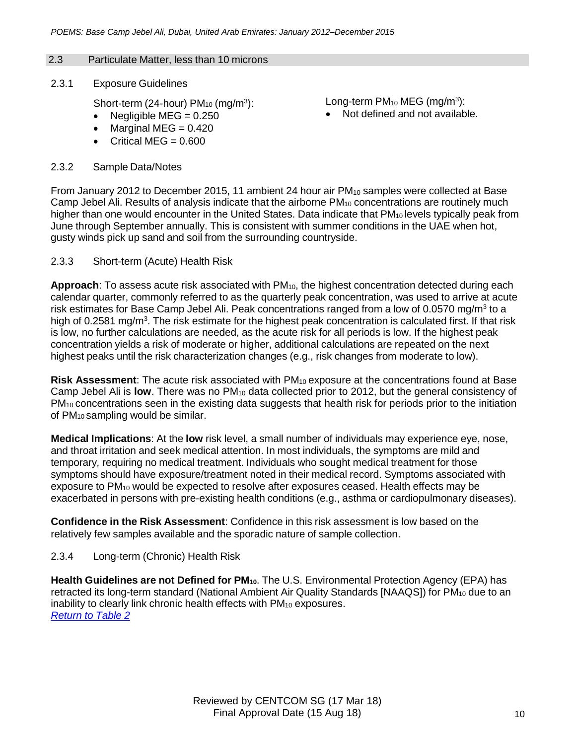## 2.3 Particulate Matter, less than 10 microns

2.3.1 Exposure Guidelines

Short-term (24-hour)  $PM_{10}$  (mg/m<sup>3</sup>):

- Negligible MEG =  $0.250$
- Marginal MEG  $= 0.420$
- Critical  $MEG = 0.600$

## 2.3.2 Sample Data/Notes

Long-term PM<sub>10</sub> MEG (mg/m<sup>3</sup>):

• Not defined and not available.

From January 2012 to December 2015, 11 ambient 24 hour air PM<sub>10</sub> samples were collected at Base Camp Jebel Ali. Results of analysis indicate that the airborne PM<sub>10</sub> concentrations are routinely much higher than one would encounter in the United States. Data indicate that PM<sub>10</sub> levels typically peak from June through September annually. This is consistent with summer conditions in the UAE when hot, gusty winds pick up sand and soil from the surrounding countryside.

2.3.3 Short-term (Acute) Health Risk

**Approach**: To assess acute risk associated with PM<sub>10</sub>, the highest concentration detected during each calendar quarter, commonly referred to as the quarterly peak concentration, was used to arrive at acute risk estimates for Base Camp Jebel Ali. Peak concentrations ranged from a low of 0.0570 mg/m<sup>3</sup> to a high of 0.2581 mg/m<sup>3</sup>. The risk estimate for the highest peak concentration is calculated first. If that risk is low, no further calculations are needed, as the acute risk for all periods is low. If the highest peak concentration yields a risk of moderate or higher, additional calculations are repeated on the next highest peaks until the risk characterization changes (e.g., risk changes from moderate to low).

**Risk Assessment:** The acute risk associated with PM<sub>10</sub> exposure at the concentrations found at Base Camp Jebel Ali is **low**. There was no PM<sub>10</sub> data collected prior to 2012, but the general consistency of PM<sub>10</sub> concentrations seen in the existing data suggests that health risk for periods prior to the initiation of PM<sup>10</sup> sampling would be similar.

**Medical Implications**: At the **low** risk level, a small number of individuals may experience eye, nose, and throat irritation and seek medical attention. In most individuals, the symptoms are mild and temporary*,* requiring no medical treatment. Individuals who sought medical treatment for those symptoms should have exposure/treatment noted in their medical record. Symptoms associated with exposure to PM<sup>10</sup> would be expected to resolve after exposures ceased. Health effects may be exacerbated in persons with pre-existing health conditions (e.g., asthma or cardiopulmonary diseases).

**Confidence in the Risk Assessment**: Confidence in this risk assessment is low based on the relatively few samples available and the sporadic nature of sample collection.

# 2.3.4 Long-term (Chronic) Health Risk

**Health Guidelines are not Defined for PM10**. The U.S. Environmental Protection Agency (EPA) has retracted its long-term standard (National Ambient Air Quality Standards [NAAQS]) for PM<sub>10</sub> due to an inability to clearly link chronic health effects with PM<sub>10</sub> exposures. *Return to Table 2*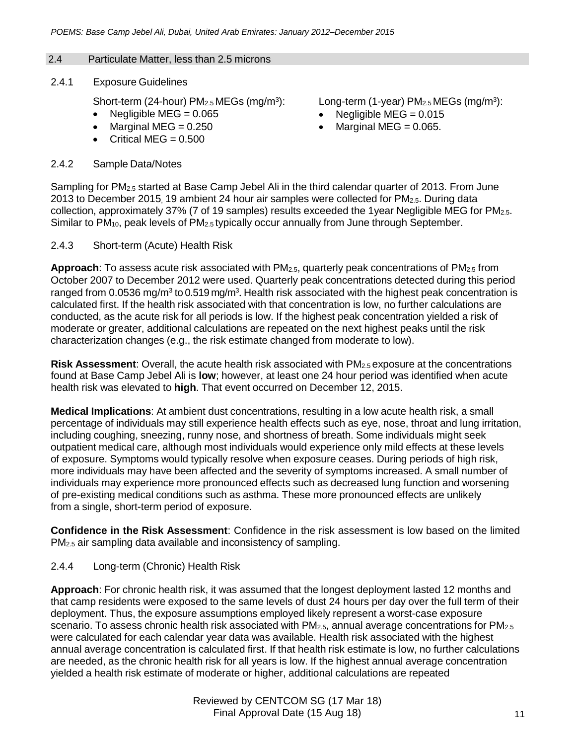## 2.4 Particulate Matter, less than 2.5 microns

2.4.1 Exposure Guidelines

Short-term (24-hour)  $PM<sub>2.5</sub> MEGs$  (mg/m<sup>3</sup>):

- Negligible  $MEG = 0.065$
- $\bullet$  Marginal MEG = 0.250
- $\bullet$  Critical MEG = 0.500

## 2.4.2 Sample Data/Notes

Long-term (1-year) PM<sub>2.5</sub> MEGs (mg/m<sup>3</sup>):

- Negligible MEG =  $0.015$
- Marginal MEG =  $0.065$ .

Sampling for PM2.5 started at Base Camp Jebel Ali in the third calendar quarter of 2013. From June 2013 to December 2015, 19 ambient 24 hour air samples were collected for PM2.5. During data collection, approximately 37% (7 of 19 samples) results exceeded the 1year Negligible MEG for PM2.5. Similar to PM<sub>10</sub>, peak levels of PM<sub>2.5</sub> typically occur annually from June through September.

## 2.4.3 Short-term (Acute) Health Risk

**Approach**: To assess acute risk associated with PM2.5, quarterly peak concentrations of PM2.5 from October 2007 to December 2012 were used. Quarterly peak concentrations detected during this period ranged from 0.0536 mg/m<sup>3</sup> to 0.519 mg/m<sup>3</sup>. Health risk associated with the highest peak concentration is calculated first. If the health risk associated with that concentration is low, no further calculations are conducted, as the acute risk for all periods is low. If the highest peak concentration yielded a risk of moderate or greater, additional calculations are repeated on the next highest peaks until the risk characterization changes (e.g., the risk estimate changed from moderate to low).

**Risk Assessment**: Overall, the acute health risk associated with PM2.5 exposure at the concentrations found at Base Camp Jebel Ali is **low**; however, at least one 24 hour period was identified when acute health risk was elevated to **high**. That event occurred on December 12, 2015.

**Medical Implications**: At ambient dust concentrations, resulting in a low acute health risk, a small percentage of individuals may still experience health effects such as eye, nose, throat and lung irritation, including coughing, sneezing, runny nose, and shortness of breath. Some individuals might seek outpatient medical care, although most individuals would experience only mild effects at these levels of exposure. Symptoms would typically resolve when exposure ceases. During periods of high risk, more individuals may have been affected and the severity of symptoms increased. A small number of individuals may experience more pronounced effects such as decreased lung function and worsening of pre-existing medical conditions such as asthma. These more pronounced effects are unlikely from a single, short-term period of exposure.

**Confidence in the Risk Assessment**: Confidence in the risk assessment is low based on the limited PM2.5 air sampling data available and inconsistency of sampling.

# 2.4.4 Long-term (Chronic) Health Risk

**Approach**: For chronic health risk, it was assumed that the longest deployment lasted 12 months and that camp residents were exposed to the same levels of dust 24 hours per day over the full term of their deployment. Thus, the exposure assumptions employed likely represent a worst-case exposure scenario. To assess chronic health risk associated with  $PM_{2.5}$ , annual average concentrations for  $PM_{2.5}$ were calculated for each calendar year data was available. Health risk associated with the highest annual average concentration is calculated first. If that health risk estimate is low, no further calculations are needed, as the chronic health risk for all years is low. If the highest annual average concentration yielded a health risk estimate of moderate or higher, additional calculations are repeated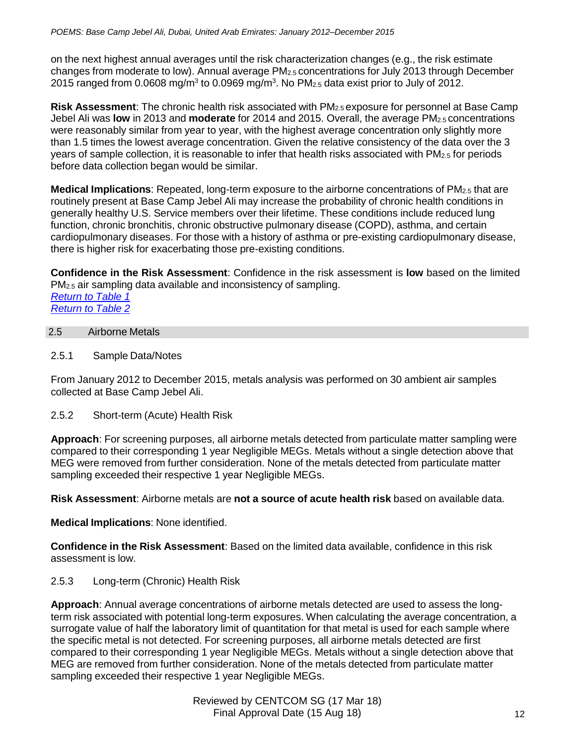on the next highest annual averages until the risk characterization changes (e.g., the risk estimate changes from moderate to low). Annual average PM2.5 concentrations for July 2013 through December 2015 ranged from 0.0608 mg/m<sup>3</sup> to 0.0969 mg/m<sup>3</sup>. No PM<sub>2.5</sub> data exist prior to July of 2012.

**Risk Assessment**: The chronic health risk associated with PM2.5 exposure for personnel at Base Camp Jebel Ali was **low** in 2013 and **moderate** for 2014 and 2015. Overall, the average PM2.5 concentrations were reasonably similar from year to year, with the highest average concentration only slightly more than 1.5 times the lowest average concentration. Given the relative consistency of the data over the 3 years of sample collection, it is reasonable to infer that health risks associated with PM<sub>2.5</sub> for periods before data collection began would be similar.

**Medical Implications**: Repeated, long-term exposure to the airborne concentrations of PM2.5 that are routinely present at Base Camp Jebel Ali may increase the probability of chronic health conditions in generally healthy U.S. Service members over their lifetime. These conditions include reduced lung function, chronic bronchitis, chronic obstructive pulmonary disease (COPD), asthma, and certain cardiopulmonary diseases. For those with a history of asthma or pre-existing cardiopulmonary disease, there is higher risk for exacerbating those pre-existing conditions.

**Confidence in the Risk Assessment**: Confidence in the risk assessment is **low** based on the limited PM2.5 air sampling data available and inconsistency of sampling. *Return to Table 1*

*Return to Table 2*

# 2.5 Airborne Metals

2.5.1 Sample Data/Notes

From January 2012 to December 2015, metals analysis was performed on 30 ambient air samples collected at Base Camp Jebel Ali.

2.5.2 Short-term (Acute) Health Risk

**Approach**: For screening purposes, all airborne metals detected from particulate matter sampling were compared to their corresponding 1 year Negligible MEGs. Metals without a single detection above that MEG were removed from further consideration. None of the metals detected from particulate matter sampling exceeded their respective 1 year Negligible MEGs.

**Risk Assessment**: Airborne metals are **not a source of acute health risk** based on available data.

**Medical Implications**: None identified.

**Confidence in the Risk Assessment**: Based on the limited data available, confidence in this risk assessment is low.

# 2.5.3 Long-term (Chronic) Health Risk

**Approach**: Annual average concentrations of airborne metals detected are used to assess the longterm risk associated with potential long-term exposures. When calculating the average concentration, a surrogate value of half the laboratory limit of quantitation for that metal is used for each sample where the specific metal is not detected. For screening purposes, all airborne metals detected are first compared to their corresponding 1 year Negligible MEGs. Metals without a single detection above that MEG are removed from further consideration. None of the metals detected from particulate matter sampling exceeded their respective 1 year Negligible MEGs.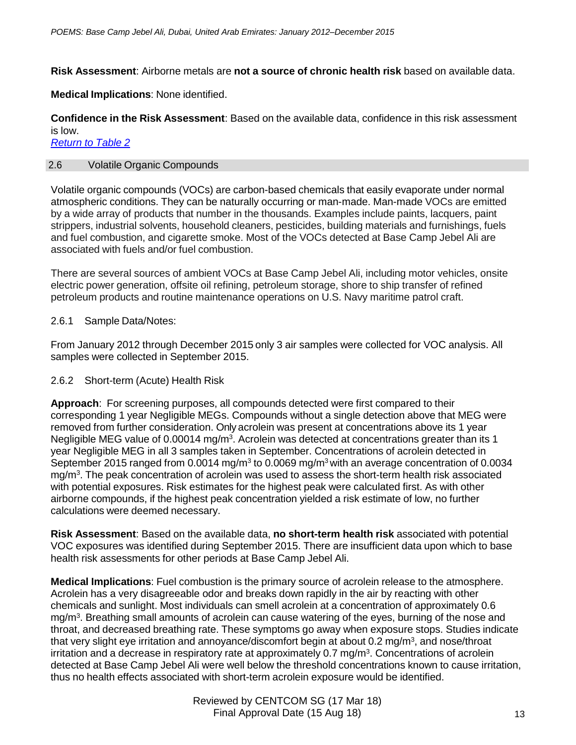**Risk Assessment**: Airborne metals are **not a source of chronic health risk** based on available data.

**Medical Implications**: None identified.

**Confidence in the Risk Assessment**: Based on the available data, confidence in this risk assessment is low.

*Return to Table 2*

## 2.6 Volatile Organic Compounds

Volatile organic compounds (VOCs) are carbon-based chemicals that easily evaporate under normal atmospheric conditions. They can be naturally occurring or man-made. Man-made VOCs are emitted by a wide array of products that number in the thousands. Examples include paints, lacquers, paint strippers, industrial solvents, household cleaners, pesticides, building materials and furnishings, fuels and fuel combustion, and cigarette smoke. Most of the VOCs detected at Base Camp Jebel Ali are associated with fuels and/or fuel combustion.

There are several sources of ambient VOCs at Base Camp Jebel Ali, including motor vehicles, onsite electric power generation, offsite oil refining, petroleum storage, shore to ship transfer of refined petroleum products and routine maintenance operations on U.S. Navy maritime patrol craft.

# 2.6.1 Sample Data/Notes:

From January 2012 through December 2015 only 3 air samples were collected for VOC analysis. All samples were collected in September 2015.

## 2.6.2 Short-term (Acute) Health Risk

**Approach**: For screening purposes, all compounds detected were first compared to their corresponding 1 year Negligible MEGs. Compounds without a single detection above that MEG were removed from further consideration. Only acrolein was present at concentrations above its 1 year Negligible MEG value of 0.00014 mg/m<sup>3</sup>. Acrolein was detected at concentrations greater than its 1 year Negligible MEG in all 3 samples taken in September. Concentrations of acrolein detected in September 2015 ranged from 0.0014 mg/m<sup>3</sup> to 0.0069 mg/m<sup>3</sup> with an average concentration of 0.0034 mg/m<sup>3</sup>. The peak concentration of acrolein was used to assess the short-term health risk associated with potential exposures. Risk estimates for the highest peak were calculated first. As with other airborne compounds, if the highest peak concentration yielded a risk estimate of low, no further calculations were deemed necessary.

**Risk Assessment**: Based on the available data, **no short-term health risk** associated with potential VOC exposures was identified during September 2015. There are insufficient data upon which to base health risk assessments for other periods at Base Camp Jebel Ali.

**Medical Implications**: Fuel combustion is the primary source of acrolein release to the atmosphere. Acrolein has a very disagreeable odor and breaks down rapidly in the air by reacting with other chemicals and sunlight. Most individuals can smell acrolein at a concentration of approximately 0.6 mg/m<sup>3</sup>. Breathing small amounts of acrolein can cause watering of the eyes, burning of the nose and throat, and decreased breathing rate. These symptoms go away when exposure stops. Studies indicate that very slight eye irritation and annoyance/discomfort begin at about 0.2 mg/m<sup>3</sup>, and nose/throat irritation and a decrease in respiratory rate at approximately 0.7 mg/m<sup>3</sup>. Concentrations of acrolein detected at Base Camp Jebel Ali were well below the threshold concentrations known to cause irritation, thus no health effects associated with short-term acrolein exposure would be identified.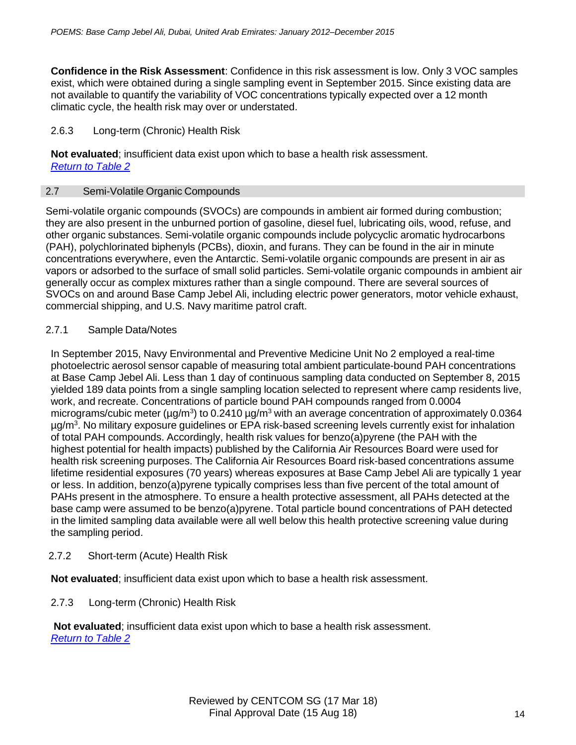**Confidence in the Risk Assessment**: Confidence in this risk assessment is low. Only 3 VOC samples exist, which were obtained during a single sampling event in September 2015. Since existing data are not available to quantify the variability of VOC concentrations typically expected over a 12 month climatic cycle, the health risk may over or understated.

## 2.6.3 Long-term (Chronic) Health Risk

**Not evaluated**; insufficient data exist upon which to base a health risk assessment. *Return to Table 2*

## 2.7 Semi-Volatile Organic Compounds

Semi-volatile organic compounds (SVOCs) are compounds in ambient air formed during combustion; they are also present in the unburned portion of gasoline, diesel fuel, lubricating oils, wood, refuse, and other organic substances. Semi-volatile organic compounds include polycyclic aromatic hydrocarbons (PAH), polychlorinated biphenyls (PCBs), dioxin, and furans. They can be found in the air in minute concentrations everywhere, even the Antarctic. Semi-volatile organic compounds are present in air as vapors or adsorbed to the surface of small solid particles. Semi-volatile organic compounds in ambient air generally occur as complex mixtures rather than a single compound. There are several sources of SVOCs on and around Base Camp Jebel Ali, including electric power generators, motor vehicle exhaust, commercial shipping, and U.S. Navy maritime patrol craft.

## 2.7.1 Sample Data/Notes

In September 2015, Navy Environmental and Preventive Medicine Unit No 2 employed a real-time photoelectric aerosol sensor capable of measuring total ambient particulate-bound PAH concentrations at Base Camp Jebel Ali. Less than 1 day of continuous sampling data conducted on September 8, 2015 yielded 189 data points from a single sampling location selected to represent where camp residents live, work, and recreate. Concentrations of particle bound PAH compounds ranged from 0.0004 micrograms/cubic meter (µg/m<sup>3</sup>) to 0.2410 µg/m<sup>3</sup> with an average concentration of approximately 0.0364 µg/m<sup>3</sup> . No military exposure guidelines or EPA risk-based screening levels currently exist for inhalation of total PAH compounds. Accordingly, health risk values for benzo(a)pyrene (the PAH with the highest potential for health impacts) published by the California Air Resources Board were used for health risk screening purposes. The California Air Resources Board risk-based concentrations assume lifetime residential exposures (70 years) whereas exposures at Base Camp Jebel Ali are typically 1 year or less. In addition, benzo(a)pyrene typically comprises less than five percent of the total amount of PAHs present in the atmosphere. To ensure a health protective assessment, all PAHs detected at the base camp were assumed to be benzo(a)pyrene. Total particle bound concentrations of PAH detected in the limited sampling data available were all well below this health protective screening value during the sampling period.

# 2.7.2 Short-term (Acute) Health Risk

**Not evaluated**; insufficient data exist upon which to base a health risk assessment.

# 2.7.3 Long-term (Chronic) Health Risk

**Not evaluated**; insufficient data exist upon which to base a health risk assessment. *Return to Table 2*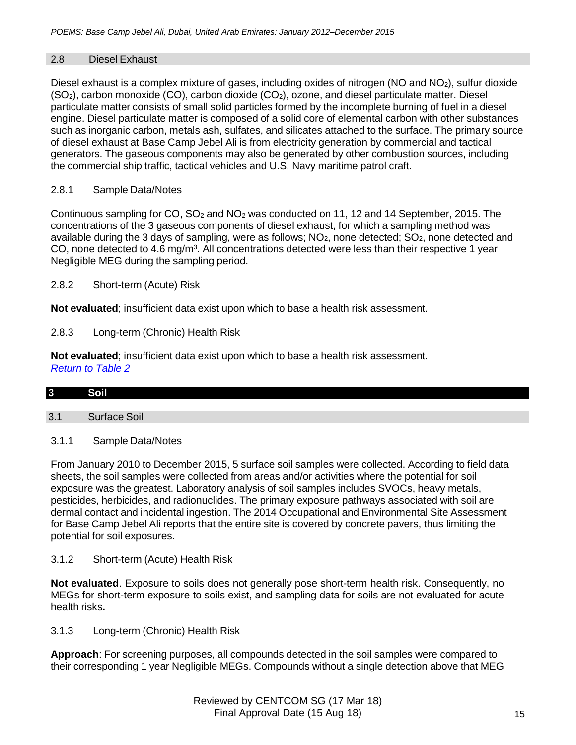# 2.8 Diesel Exhaust

Diesel exhaust is a complex mixture of gases, including oxides of nitrogen (NO and NO2), sulfur dioxide (SO2), carbon monoxide (CO), carbon dioxide (CO2), ozone, and diesel particulate matter. Diesel particulate matter consists of small solid particles formed by the incomplete burning of fuel in a diesel engine. Diesel particulate matter is composed of a solid core of elemental carbon with other substances such as inorganic carbon, metals ash, sulfates, and silicates attached to the surface. The primary source of diesel exhaust at Base Camp Jebel Ali is from electricity generation by commercial and tactical generators. The gaseous components may also be generated by other combustion sources, including the commercial ship traffic, tactical vehicles and U.S. Navy maritime patrol craft.

# 2.8.1 Sample Data/Notes

Continuous sampling for  $CO$ ,  $SO<sub>2</sub>$  and  $NO<sub>2</sub>$  was conducted on 11, 12 and 14 September, 2015. The concentrations of the 3 gaseous components of diesel exhaust, for which a sampling method was available during the 3 days of sampling, were as follows;  $NO<sub>2</sub>$ , none detected;  $SO<sub>2</sub>$ , none detected and CO, none detected to 4.6 mg/m<sup>3</sup>. All concentrations detected were less than their respective 1 year Negligible MEG during the sampling period.

2.8.2 Short-term (Acute) Risk

**Not evaluated**; insufficient data exist upon which to base a health risk assessment.

2.8.3 Long-term (Chronic) Health Risk

**Not evaluated**; insufficient data exist upon which to base a health risk assessment. *Return to Table 2*

| Soil |  |  |
|------|--|--|
|      |  |  |

# 3.1 Surface Soil

# 3.1.1 Sample Data/Notes

From January 2010 to December 2015, 5 surface soil samples were collected. According to field data sheets, the soil samples were collected from areas and/or activities where the potential for soil exposure was the greatest. Laboratory analysis of soil samples includes SVOCs, heavy metals, pesticides, herbicides, and radionuclides. The primary exposure pathways associated with soil are dermal contact and incidental ingestion. The 2014 Occupational and Environmental Site Assessment for Base Camp Jebel Ali reports that the entire site is covered by concrete pavers, thus limiting the potential for soil exposures.

3.1.2 Short-term (Acute) Health Risk

**Not evaluated**. Exposure to soils does not generally pose short-term health risk. Consequently, no MEGs for short-term exposure to soils exist, and sampling data for soils are not evaluated for acute health risks**.**

3.1.3 Long-term (Chronic) Health Risk

**Approach**: For screening purposes, all compounds detected in the soil samples were compared to their corresponding 1 year Negligible MEGs. Compounds without a single detection above that MEG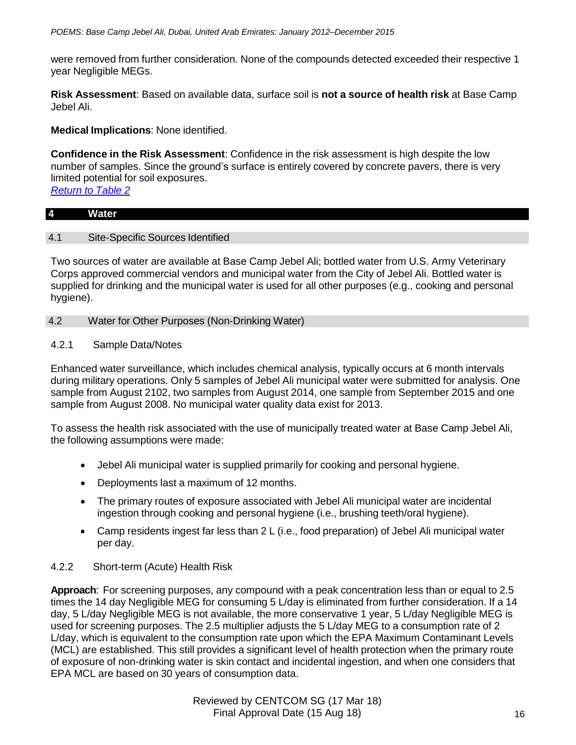were removed from further consideration. None of the compounds detected exceeded their respective 1 year Negligible MEGs.

**Risk Assessment**: Based on available data, surface soil is **not a source of health risk** at Base Camp Jebel Ali.

**Medical Implications**: None identified.

**Confidence in the Risk Assessment**: Confidence in the risk assessment is high despite the low number of samples. Since the ground's surface is entirely covered by concrete pavers, there is very limited potential for soil exposures.

*Return to Table 2*

## **4 Water**

# 4.1 Site-Specific Sources Identified

Two sources of water are available at Base Camp Jebel Ali; bottled water from U.S. Army Veterinary Corps approved commercial vendors and municipal water from the City of Jebel Ali. Bottled water is supplied for drinking and the municipal water is used for all other purposes (e.g., cooking and personal hygiene).

# 4.2 Water for Other Purposes (Non-Drinking Water)

# 4.2.1 Sample Data/Notes

Enhanced water surveillance, which includes chemical analysis, typically occurs at 6 month intervals during military operations. Only 5 samples of Jebel Ali municipal water were submitted for analysis. One sample from August 2102, two samples from August 2014, one sample from September 2015 and one sample from August 2008. No municipal water quality data exist for 2013.

To assess the health risk associated with the use of municipally treated water at Base Camp Jebel Ali, the following assumptions were made:

- Jebel Ali municipal water is supplied primarily for cooking and personal hygiene.
- Deployments last a maximum of 12 months.
- The primary routes of exposure associated with Jebel Ali municipal water are incidental ingestion through cooking and personal hygiene (i.e., brushing teeth/oral hygiene).
- Camp residents ingest far less than 2 L (i.e., food preparation) of Jebel Ali municipal water per day.

# 4.2.2 Short-term (Acute) Health Risk

**Approach**: For screening purposes, any compound with a peak concentration less than or equal to 2.5 times the 14 day Negligible MEG for consuming 5 L/day is eliminated from further consideration. If a 14 day, 5 L/day Negligible MEG is not available, the more conservative 1 year, 5 L/day Negligible MEG is used for screening purposes. The 2.5 multiplier adjusts the 5 L/day MEG to a consumption rate of 2 L/day, which is equivalent to the consumption rate upon which the EPA Maximum Contaminant Levels (MCL) are established. This still provides a significant level of health protection when the primary route of exposure of non-drinking water is skin contact and incidental ingestion, and when one considers that EPA MCL are based on 30 years of consumption data.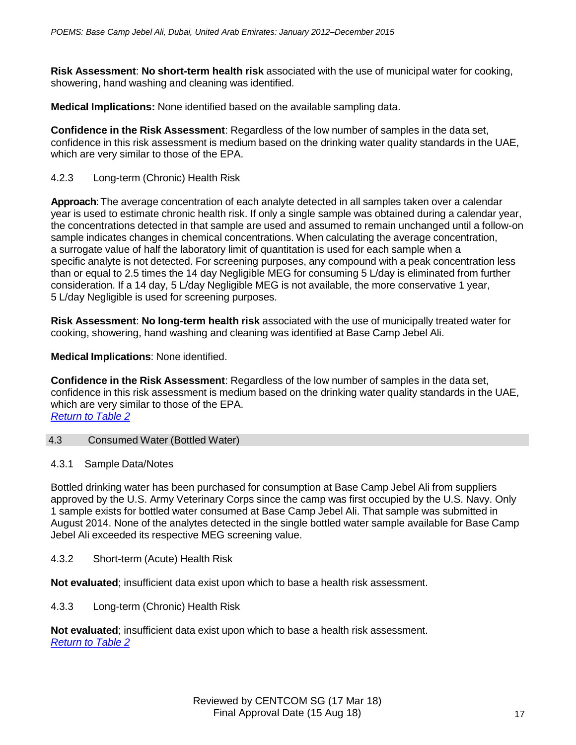**Risk Assessment**: **No short-term health risk** associated with the use of municipal water for cooking, showering, hand washing and cleaning was identified.

**Medical Implications:** None identified based on the available sampling data.

**Confidence in the Risk Assessment**: Regardless of the low number of samples in the data set, confidence in this risk assessment is medium based on the drinking water quality standards in the UAE, which are very similar to those of the EPA.

## 4.2.3 Long-term (Chronic) Health Risk

Approach: The average concentration of each analyte detected in all samples taken over a calendar year is used to estimate chronic health risk. If only a single sample was obtained during a calendar year, the concentrations detected in that sample are used and assumed to remain unchanged until a follow-on sample indicates changes in chemical concentrations. When calculating the average concentration, a surrogate value of half the laboratory limit of quantitation is used for each sample when a specific analyte is not detected. For screening purposes, any compound with a peak concentration less than or equal to 2.5 times the 14 day Negligible MEG for consuming 5 L/day is eliminated from further consideration. If a 14 day, 5 L/day Negligible MEG is not available, the more conservative 1 year, 5 L/day Negligible is used for screening purposes.

**Risk Assessment**: **No long-term health risk** associated with the use of municipally treated water for cooking, showering, hand washing and cleaning was identified at Base Camp Jebel Ali.

**Medical Implications**: None identified.

**Confidence in the Risk Assessment**: Regardless of the low number of samples in the data set, confidence in this risk assessment is medium based on the drinking water quality standards in the UAE, which are very similar to those of the EPA. *Return to Table 2*

## 4.3 Consumed Water (Bottled Water)

## 4.3.1 Sample Data/Notes

Bottled drinking water has been purchased for consumption at Base Camp Jebel Ali from suppliers approved by the U.S. Army Veterinary Corps since the camp was first occupied by the U.S. Navy. Only 1 sample exists for bottled water consumed at Base Camp Jebel Ali. That sample was submitted in August 2014. None of the analytes detected in the single bottled water sample available for Base Camp Jebel Ali exceeded its respective MEG screening value.

4.3.2 Short-term (Acute) Health Risk

**Not evaluated**; insufficient data exist upon which to base a health risk assessment.

4.3.3 Long-term (Chronic) Health Risk

**Not evaluated**; insufficient data exist upon which to base a health risk assessment. *Return to Table 2*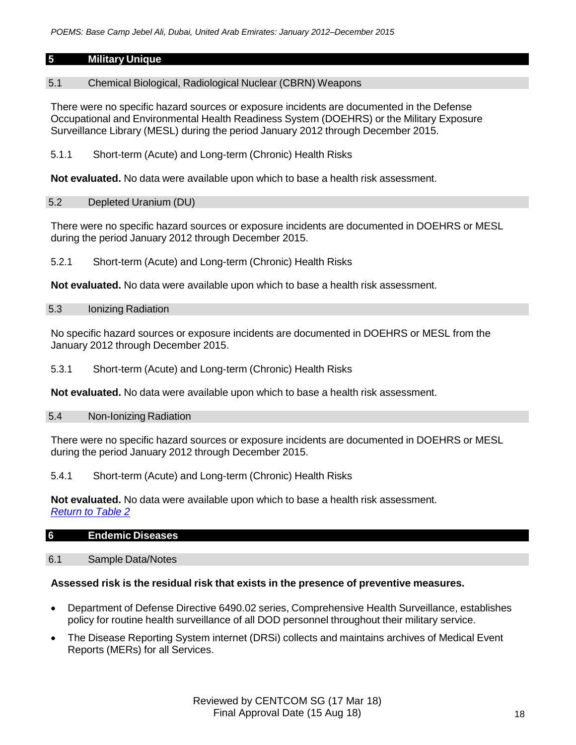# **5 Military Unique**

## 5.1 Chemical Biological, Radiological Nuclear (CBRN) Weapons

There were no specific hazard sources or exposure incidents are documented in the Defense Occupational and Environmental Health Readiness System (DOEHRS) or the Military Exposure Surveillance Library (MESL) during the period January 2012 through December 2015.

5.1.1 Short-term (Acute) and Long-term (Chronic) Health Risks

**Not evaluated.** No data were available upon which to base a health risk assessment.

## 5.2 Depleted Uranium (DU)

There were no specific hazard sources or exposure incidents are documented in DOEHRS or MESL during the period January 2012 through December 2015.

5.2.1 Short-term (Acute) and Long-term (Chronic) Health Risks

**Not evaluated.** No data were available upon which to base a health risk assessment.

## 5.3 Ionizing Radiation

No specific hazard sources or exposure incidents are documented in DOEHRS or MESL from the January 2012 through December 2015.

## 5.3.1 Short-term (Acute) and Long-term (Chronic) Health Risks

**Not evaluated.** No data were available upon which to base a health risk assessment.

## 5.4 Non-Ionizing Radiation

There were no specific hazard sources or exposure incidents are documented in DOEHRS or MESL during the period January 2012 through December 2015.

## 5.4.1 Short-term (Acute) and Long-term (Chronic) Health Risks

**Not evaluated.** No data were available upon which to base a health risk assessment. *Return to Table 2*

# **6 Endemic Diseases**

## 6.1 Sample Data/Notes

## **Assessed risk is the residual risk that exists in the presence of preventive measures.**

- Department of Defense Directive 6490.02 series, Comprehensive Health Surveillance, establishes policy for routine health surveillance of all DOD personnel throughout their military service.
- The Disease Reporting System internet (DRSi) collects and maintains archives of Medical Event Reports (MERs) for all Services.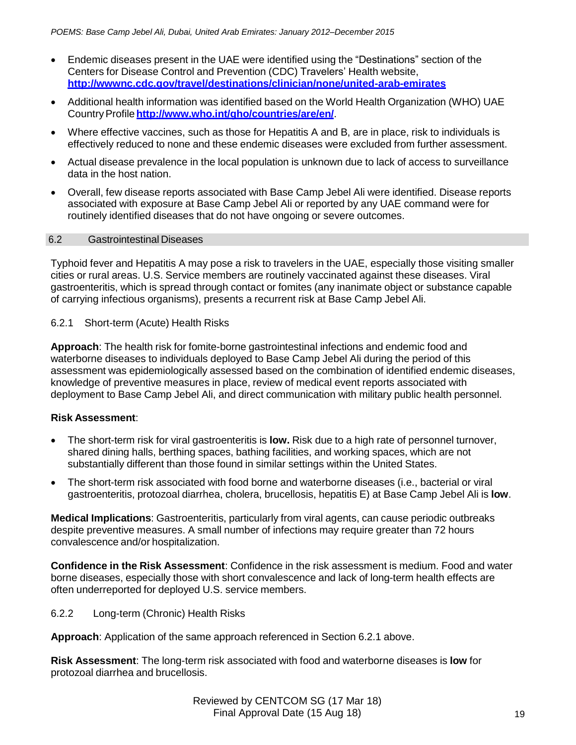- Endemic diseases present in the UAE were identified using the "Destinations" section of the Centers for Disease Control and Prevention (CDC) Travelers' Health website, **<http://wwwnc.cdc.gov/travel/destinations/clinician/none/united-arab-emirates>**
- Additional health information was identified based on the World Health Organization (WHO) UAE CountryProfile**<http://www.who.int/gho/countries/are/en/>**.
- Where effective vaccines, such as those for Hepatitis A and B, are in place, risk to individuals is effectively reduced to none and these endemic diseases were excluded from further assessment.
- Actual disease prevalence in the local population is unknown due to lack of access to surveillance data in the host nation.
- Overall, few disease reports associated with Base Camp Jebel Ali were identified. Disease reports associated with exposure at Base Camp Jebel Ali or reported by any UAE command were for routinely identified diseases that do not have ongoing or severe outcomes.

## 6.2 Gastrointestinal Diseases

Typhoid fever and Hepatitis A may pose a risk to travelers in the UAE, especially those visiting smaller cities or rural areas. U.S. Service members are routinely vaccinated against these diseases. Viral gastroenteritis, which is spread through contact or fomites (any inanimate object or substance capable of carrying infectious organisms), presents a recurrent risk at Base Camp Jebel Ali.

# 6.2.1 Short-term (Acute) Health Risks

**Approach**: The health risk for fomite-borne gastrointestinal infections and endemic food and waterborne diseases to individuals deployed to Base Camp Jebel Ali during the period of this assessment was epidemiologically assessed based on the combination of identified endemic diseases, knowledge of preventive measures in place, review of medical event reports associated with deployment to Base Camp Jebel Ali, and direct communication with military public health personnel.

# **Risk Assessment**:

- The short-term risk for viral gastroenteritis is **low.** Risk due to a high rate of personnel turnover, shared dining halls, berthing spaces, bathing facilities, and working spaces, which are not substantially different than those found in similar settings within the United States.
- The short-term risk associated with food borne and waterborne diseases (i.e., bacterial or viral gastroenteritis, protozoal diarrhea, cholera, brucellosis, hepatitis E) at Base Camp Jebel Ali is **low**.

**Medical Implications**: Gastroenteritis, particularly from viral agents, can cause periodic outbreaks despite preventive measures. A small number of infections may require greater than 72 hours convalescence and/or hospitalization.

**Confidence in the Risk Assessment**: Confidence in the risk assessment is medium. Food and water borne diseases, especially those with short convalescence and lack of long-term health effects are often underreported for deployed U.S. service members.

6.2.2 Long-term (Chronic) Health Risks

**Approach**: Application of the same approach referenced in Section 6.2.1 above.

**Risk Assessment**: The long-term risk associated with food and waterborne diseases is **low** for protozoal diarrhea and brucellosis.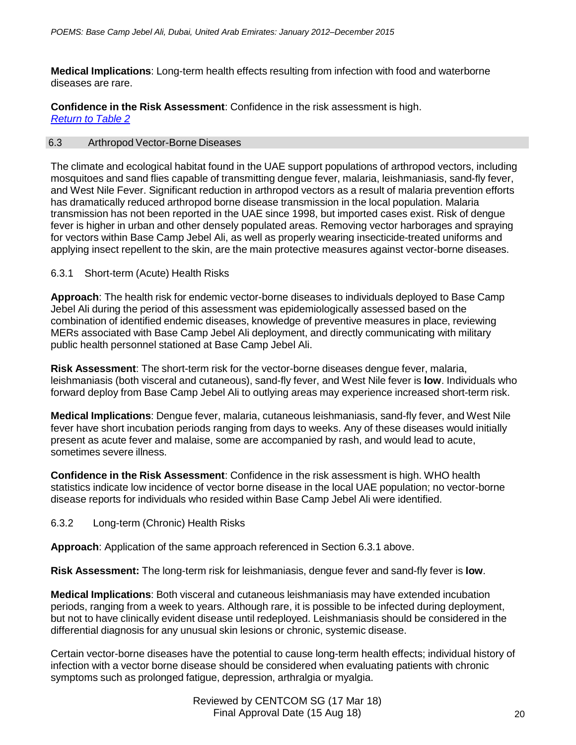**Medical Implications**: Long-term health effects resulting from infection with food and waterborne diseases are rare.

**Confidence in the Risk Assessment**: Confidence in the risk assessment is high. *Return to Table 2*

## 6.3 Arthropod Vector-Borne Diseases

The climate and ecological habitat found in the UAE support populations of arthropod vectors, including mosquitoes and sand flies capable of transmitting dengue fever, malaria, leishmaniasis, sand-fly fever, and West Nile Fever. Significant reduction in arthropod vectors as a result of malaria prevention efforts has dramatically reduced arthropod borne disease transmission in the local population. Malaria transmission has not been reported in the UAE since 1998, but imported cases exist. Risk of dengue fever is higher in urban and other densely populated areas. Removing vector harborages and spraying for vectors within Base Camp Jebel Ali, as well as properly wearing insecticide-treated uniforms and applying insect repellent to the skin, are the main protective measures against vector-borne diseases.

## 6.3.1 Short-term (Acute) Health Risks

**Approach**: The health risk for endemic vector-borne diseases to individuals deployed to Base Camp Jebel Ali during the period of this assessment was epidemiologically assessed based on the combination of identified endemic diseases, knowledge of preventive measures in place, reviewing MERs associated with Base Camp Jebel Ali deployment, and directly communicating with military public health personnel stationed at Base Camp Jebel Ali.

**Risk Assessment**: The short-term risk for the vector-borne diseases dengue fever, malaria, leishmaniasis (both visceral and cutaneous), sand-fly fever, and West Nile fever is **low**. Individuals who forward deploy from Base Camp Jebel Ali to outlying areas may experience increased short-term risk.

**Medical Implications**: Dengue fever, malaria, cutaneous leishmaniasis, sand-fly fever, and West Nile fever have short incubation periods ranging from days to weeks. Any of these diseases would initially present as acute fever and malaise, some are accompanied by rash, and would lead to acute, sometimes severe illness.

**Confidence in the Risk Assessment**: Confidence in the risk assessment is high. WHO health statistics indicate low incidence of vector borne disease in the local UAE population; no vector-borne disease reports for individuals who resided within Base Camp Jebel Ali were identified.

6.3.2 Long-term (Chronic) Health Risks

**Approach**: Application of the same approach referenced in Section 6.3.1 above.

**Risk Assessment:** The long-term risk for leishmaniasis, dengue fever and sand-fly fever is **low**.

**Medical Implications**: Both visceral and cutaneous leishmaniasis may have extended incubation periods, ranging from a week to years. Although rare, it is possible to be infected during deployment, but not to have clinically evident disease until redeployed. Leishmaniasis should be considered in the differential diagnosis for any unusual skin lesions or chronic, systemic disease.

Certain vector-borne diseases have the potential to cause long-term health effects; individual history of infection with a vector borne disease should be considered when evaluating patients with chronic symptoms such as prolonged fatigue, depression, arthralgia or myalgia.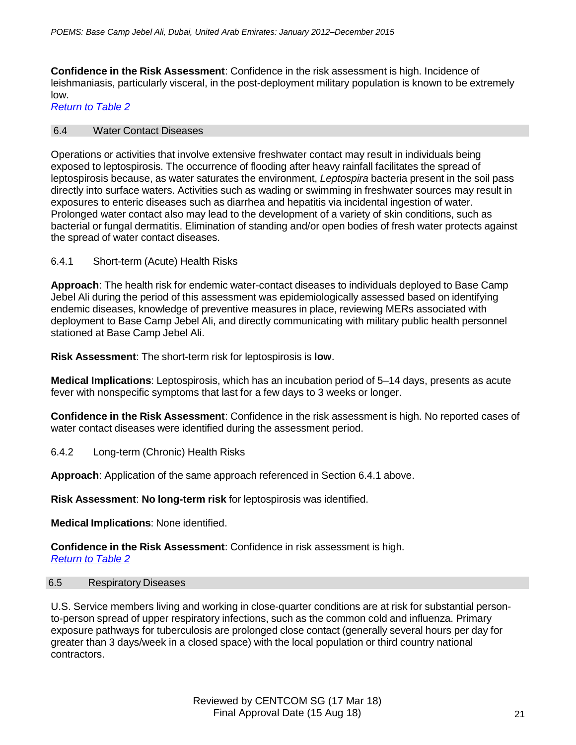**Confidence in the Risk Assessment**: Confidence in the risk assessment is high. Incidence of leishmaniasis, particularly visceral, in the post-deployment military population is known to be extremely low.

*Return to Table 2*

#### 6.4 Water Contact Diseases

Operations or activities that involve extensive freshwater contact may result in individuals being exposed to leptospirosis. The occurrence of flooding after heavy rainfall facilitates the spread of leptospirosis because, as water saturates the environment, *Leptospira* bacteria present in the soil pass directly into surface waters. Activities such as wading or swimming in freshwater sources may result in exposures to enteric diseases such as diarrhea and hepatitis via incidental ingestion of water. Prolonged water contact also may lead to the development of a variety of skin conditions, such as bacterial or fungal dermatitis. Elimination of standing and/or open bodies of fresh water protects against the spread of water contact diseases.

6.4.1 Short-term (Acute) Health Risks

**Approach**: The health risk for endemic water-contact diseases to individuals deployed to Base Camp Jebel Ali during the period of this assessment was epidemiologically assessed based on identifying endemic diseases, knowledge of preventive measures in place, reviewing MERs associated with deployment to Base Camp Jebel Ali, and directly communicating with military public health personnel stationed at Base Camp Jebel Ali.

**Risk Assessment**: The short-term risk for leptospirosis is **low**.

**Medical Implications**: Leptospirosis, which has an incubation period of 5–14 days, presents as acute fever with nonspecific symptoms that last for a few days to 3 weeks or longer.

**Confidence in the Risk Assessment**: Confidence in the risk assessment is high. No reported cases of water contact diseases were identified during the assessment period.

6.4.2 Long-term (Chronic) Health Risks

**Approach**: Application of the same approach referenced in Section 6.4.1 above.

**Risk Assessment**: **No long-term risk** for leptospirosis was identified.

**Medical Implications**: None identified.

**Confidence in the Risk Assessment**: Confidence in risk assessment is high. *Return to Table 2*

## 6.5 Respiratory Diseases

U.S. Service members living and working in close-quarter conditions are at risk for substantial personto-person spread of upper respiratory infections, such as the common cold and influenza. Primary exposure pathways for tuberculosis are prolonged close contact (generally several hours per day for greater than 3 days/week in a closed space) with the local population or third country national contractors.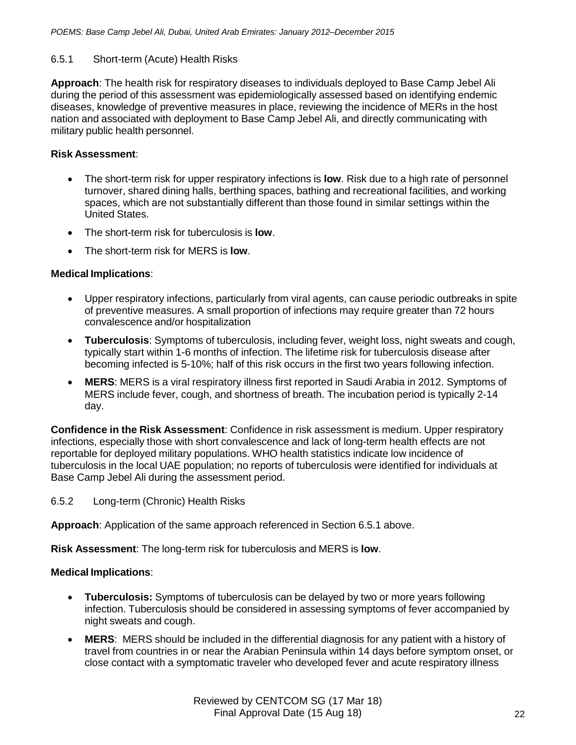## 6.5.1 Short-term (Acute) Health Risks

**Approach**: The health risk for respiratory diseases to individuals deployed to Base Camp Jebel Ali during the period of this assessment was epidemiologically assessed based on identifying endemic diseases, knowledge of preventive measures in place, reviewing the incidence of MERs in the host nation and associated with deployment to Base Camp Jebel Ali, and directly communicating with military public health personnel.

## **Risk Assessment**:

- The short-term risk for upper respiratory infections is **low**. Risk due to a high rate of personnel turnover, shared dining halls, berthing spaces, bathing and recreational facilities, and working spaces, which are not substantially different than those found in similar settings within the United States.
- The short-term risk for tuberculosis is **low**.
- The short-term risk for MERS is **low**.

## **Medical Implications**:

- Upper respiratory infections, particularly from viral agents, can cause periodic outbreaks in spite of preventive measures. A small proportion of infections may require greater than 72 hours convalescence and/or hospitalization
- **Tuberculosis**: Symptoms of tuberculosis, including fever, weight loss, night sweats and cough, typically start within 1-6 months of infection. The lifetime risk for tuberculosis disease after becoming infected is 5-10%; half of this risk occurs in the first two years following infection.
- **MERS**: MERS is a viral respiratory illness first reported in Saudi Arabia in 2012. Symptoms of MERS include fever, cough, and shortness of breath. The incubation period is typically 2-14 day.

**Confidence in the Risk Assessment**: Confidence in risk assessment is medium. Upper respiratory infections, especially those with short convalescence and lack of long-term health effects are not reportable for deployed military populations. WHO health statistics indicate low incidence of tuberculosis in the local UAE population; no reports of tuberculosis were identified for individuals at Base Camp Jebel Ali during the assessment period.

6.5.2 Long-term (Chronic) Health Risks

**Approach**: Application of the same approach referenced in Section 6.5.1 above.

**Risk Assessment**: The long-term risk for tuberculosis and MERS is **low**.

## **Medical Implications**:

- **Tuberculosis:** Symptoms of tuberculosis can be delayed by two or more years following infection. Tuberculosis should be considered in assessing symptoms of fever accompanied by night sweats and cough.
- **MERS**: MERS should be included in the differential diagnosis for any patient with a history of travel from countries in or near the Arabian Peninsula within 14 days before symptom onset, or close contact with a symptomatic traveler who developed fever and acute respiratory illness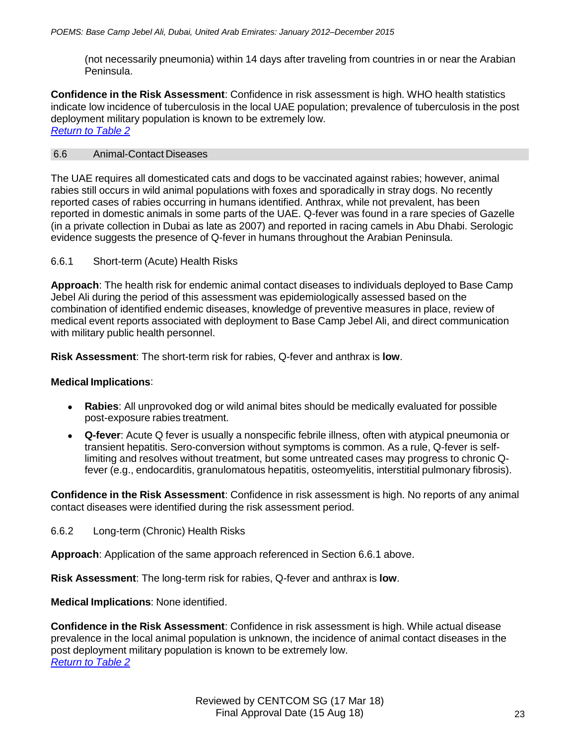(not necessarily pneumonia) within 14 days after traveling from countries in or near the Arabian Peninsula.

**Confidence in the Risk Assessment**: Confidence in risk assessment is high. WHO health statistics indicate low incidence of tuberculosis in the local UAE population; prevalence of tuberculosis in the post deployment military population is known to be extremely low. *Return to Table 2*

### 6.6 Animal-Contact Diseases

The UAE requires all domesticated cats and dogs to be vaccinated against rabies; however, animal rabies still occurs in wild animal populations with foxes and sporadically in stray dogs. No recently reported cases of rabies occurring in humans identified. Anthrax, while not prevalent, has been reported in domestic animals in some parts of the UAE. Q-fever was found in a rare species of Gazelle (in a private collection in Dubai as late as 2007) and reported in racing camels in Abu Dhabi. Serologic evidence suggests the presence of Q-fever in humans throughout the Arabian Peninsula.

### 6.6.1 Short-term (Acute) Health Risks

**Approach**: The health risk for endemic animal contact diseases to individuals deployed to Base Camp Jebel Ali during the period of this assessment was epidemiologically assessed based on the combination of identified endemic diseases, knowledge of preventive measures in place, review of medical event reports associated with deployment to Base Camp Jebel Ali, and direct communication with military public health personnel.

**Risk Assessment**: The short-term risk for rabies, Q-fever and anthrax is **low**.

#### **Medical Implications**:

- **Rabies**: All unprovoked dog or wild animal bites should be medically evaluated for possible post-exposure rabies treatment.
- **Q-fever**: Acute Q fever is usually a nonspecific febrile illness, often with atypical pneumonia or transient hepatitis. Sero-conversion without symptoms is common. As a rule, Q-fever is selflimiting and resolves without treatment, but some untreated cases may progress to chronic Qfever (e.g., endocarditis, granulomatous hepatitis, osteomyelitis, interstitial pulmonary fibrosis).

**Confidence in the Risk Assessment**: Confidence in risk assessment is high. No reports of any animal contact diseases were identified during the risk assessment period.

6.6.2 Long-term (Chronic) Health Risks

**Approach**: Application of the same approach referenced in Section 6.6.1 above.

**Risk Assessment**: The long-term risk for rabies, Q-fever and anthrax is **low**.

**Medical Implications**: None identified.

**Confidence in the Risk Assessment**: Confidence in risk assessment is high. While actual disease prevalence in the local animal population is unknown, the incidence of animal contact diseases in the post deployment military population is known to be extremely low. *Return to Table 2*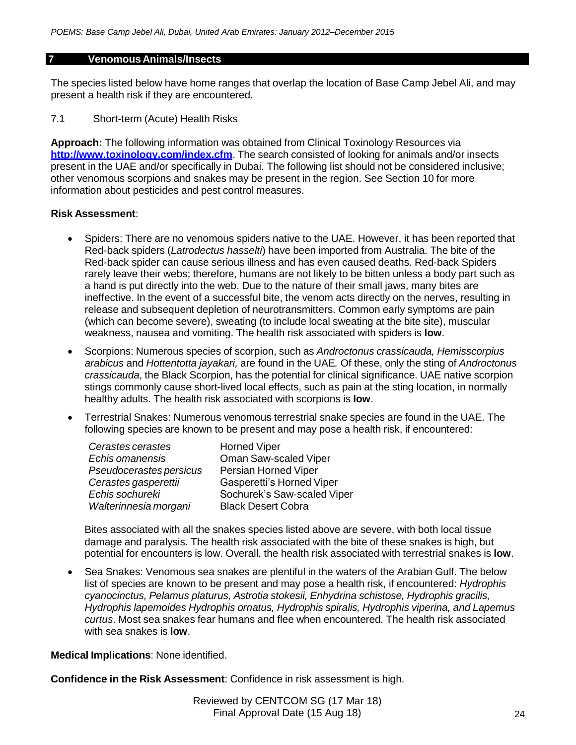#### **7 Venomous Animals/Insects**

The species listed below have home ranges that overlap the location of Base Camp Jebel Ali, and may present a health risk if they are encountered.

## 7.1 Short-term (Acute) Health Risks

**Approach:** The following information was obtained from Clinical Toxinology Resources via **<http://www.toxinology.com/index.cfm>**. The search consisted of looking for animals and/or insects present in the UAE and/or specifically in Dubai. The following list should not be considered inclusive; other venomous scorpions and snakes may be present in the region. See Section 10 for more information about pesticides and pest control measures.

### **Risk Assessment**:

- Spiders: There are no venomous spiders native to the UAE. However, it has been reported that Red-back spiders (*Latrodectus hasselti*) have been imported from Australia. The bite of the Red-back spider can cause serious illness and has even caused deaths. Red-back Spiders rarely leave their webs; therefore, humans are not likely to be bitten unless a body part such as a hand is put directly into the web. Due to the nature of their small jaws, many bites are ineffective. In the event of a successful bite, the venom acts directly on the nerves, resulting in release and subsequent depletion of neurotransmitters. Common early symptoms are pain (which can become severe), sweating (to include local sweating at the bite site), muscular weakness, nausea and vomiting. The health risk associated with spiders is **low**.
- Scorpions: Numerous species of scorpion, such as *Androctonus crassicauda, Hemisscorpius arabicus* and *Hottentotta jayakari,* are found in the UAE*.* Of these, only the sting of *Androctonus crassicauda*, the Black Scorpion, has the potential for clinical significance. UAE native scorpion stings commonly cause short-lived local effects, such as pain at the sting location, in normally healthy adults. The health risk associated with scorpions is **low**.
- Terrestrial Snakes: Numerous venomous terrestrial snake species are found in the UAE. The following species are known to be present and may pose a health risk, if encountered:

| Cerastes cerastes       | <b>Horned Viper</b>         |
|-------------------------|-----------------------------|
| Echis omanensis         | Oman Saw-scaled Viper       |
| Pseudocerastes persicus | Persian Horned Viper        |
| Cerastes gasperettii    | Gasperetti's Horned Viper   |
| Echis sochureki         | Sochurek's Saw-scaled Viper |
| Walterinnesia morgani   | <b>Black Desert Cobra</b>   |

Bites associated with all the snakes species listed above are severe, with both local tissue damage and paralysis. The health risk associated with the bite of these snakes is high, but potential for encounters is low. Overall, the health risk associated with terrestrial snakes is **low**.

 Sea Snakes: Venomous sea snakes are plentiful in the waters of the Arabian Gulf. The below list of species are known to be present and may pose a health risk, if encountered: *Hydrophis cyanocinctus, Pelamus platurus, Astrotia stokesii, Enhydrina schistose, Hydrophis gracilis, Hydrophis lapemoides Hydrophis ornatus, Hydrophis spiralis, Hydrophis viperina, and Lapemus curtus*. Most sea snakes fear humans and flee when encountered. The health risk associated with sea snakes is **low**.

**Medical Implications**: None identified.

**Confidence in the Risk Assessment**: Confidence in risk assessment is high.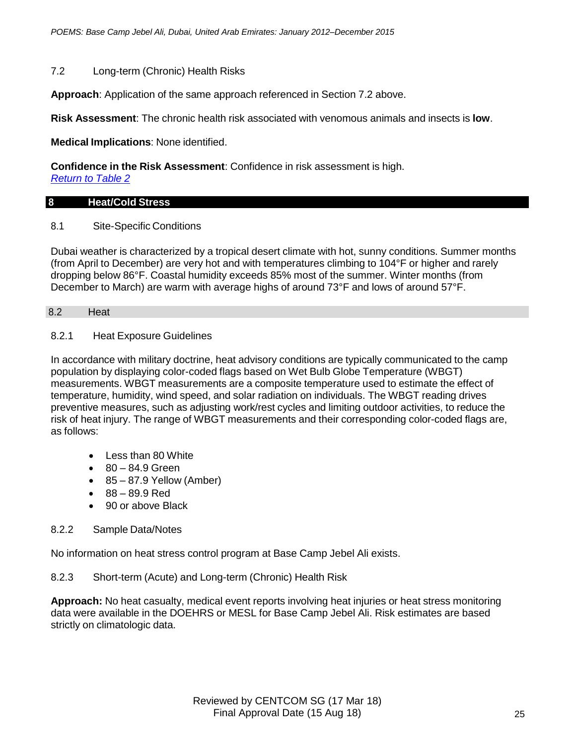## 7.2 Long-term (Chronic) Health Risks

**Approach**: Application of the same approach referenced in Section 7.2 above.

**Risk Assessment**: The chronic health risk associated with venomous animals and insects is **low**.

**Medical Implications**: None identified.

**Confidence in the Risk Assessment**: Confidence in risk assessment is high.

*Return to Table 2*

## **8 Heat/Cold Stress**

## 8.1 Site-Specific Conditions

Dubai weather is characterized by a tropical desert climate with hot, sunny conditions. Summer months (from April to December) are very hot and with temperatures climbing to 104°F or higher and rarely dropping below 86°F. Coastal humidity exceeds 85% most of the summer. Winter months (from December to March) are warm with average highs of around 73°F and lows of around 57°F.

### 8.2 Heat

## 8.2.1 Heat Exposure Guidelines

In accordance with military doctrine, heat advisory conditions are typically communicated to the camp population by displaying color-coded flags based on Wet Bulb Globe Temperature (WBGT) measurements. WBGT measurements are a composite temperature used to estimate the effect of temperature, humidity, wind speed, and solar radiation on individuals. The WBGT reading drives preventive measures, such as adjusting work/rest cycles and limiting outdoor activities, to reduce the risk of heat injury. The range of WBGT measurements and their corresponding color-coded flags are, as follows:

- Less than 80 White
- $80 84.9$  Green
- $\bullet$  85 87.9 Yellow (Amber)
- 88 89.9 Red
- 90 or above Black

# 8.2.2 Sample Data/Notes

No information on heat stress control program at Base Camp Jebel Ali exists.

8.2.3 Short-term (Acute) and Long-term (Chronic) Health Risk

**Approach:** No heat casualty, medical event reports involving heat injuries or heat stress monitoring data were available in the DOEHRS or MESL for Base Camp Jebel Ali. Risk estimates are based strictly on climatologic data.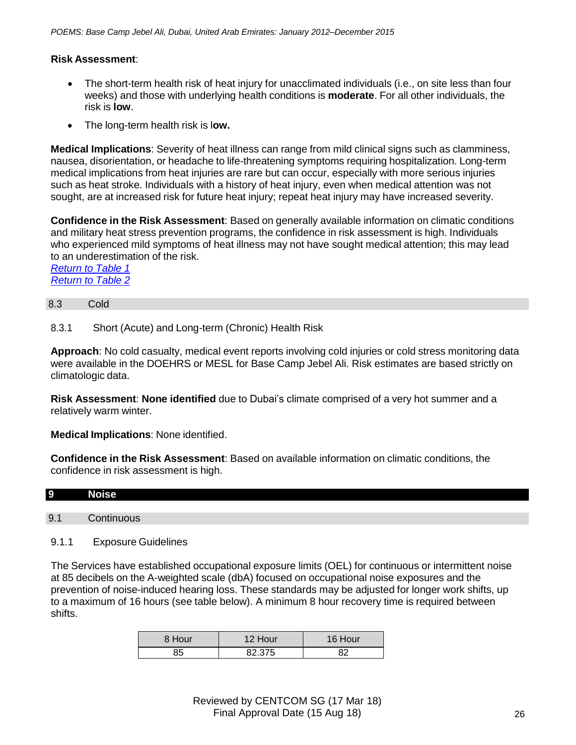# **Risk Assessment**:

- The short-term health risk of heat injury for unacclimated individuals (i.e., on site less than four weeks) and those with underlying health conditions is **moderate**. For all other individuals, the risk is **low**.
- The long-term health risk is l**ow.**

**Medical Implications**: Severity of heat illness can range from mild clinical signs such as clamminess, nausea, disorientation, or headache to life-threatening symptoms requiring hospitalization. Long-term medical implications from heat injuries are rare but can occur, especially with more serious injuries such as heat stroke. Individuals with a history of heat injury, even when medical attention was not sought, are at increased risk for future heat injury; repeat heat injury may have increased severity.

**Confidence in the Risk Assessment**: Based on generally available information on climatic conditions and military heat stress prevention programs, the confidence in risk assessment is high. Individuals who experienced mild symptoms of heat illness may not have sought medical attention; this may lead to an underestimation of the risk.

*Return to Table 1 Return to Table 2*

# 8.3 Cold

8.3.1 Short (Acute) and Long-term (Chronic) Health Risk

**Approach**: No cold casualty, medical event reports involving cold injuries or cold stress monitoring data were available in the DOEHRS or MESL for Base Camp Jebel Ali. Risk estimates are based strictly on climatologic data.

**Risk Assessment**: **None identified** due to Dubai's climate comprised of a very hot summer and a relatively warm winter.

**Medical Implications**: None identified.

**Confidence in the Risk Assessment**: Based on available information on climatic conditions, the confidence in risk assessment is high.

# **9 Noise**

9.1 Continuous

# 9.1.1 Exposure Guidelines

The Services have established occupational exposure limits (OEL) for continuous or intermittent noise at 85 decibels on the A-weighted scale (dbA) focused on occupational noise exposures and the prevention of noise-induced hearing loss. These standards may be adjusted for longer work shifts, up to a maximum of 16 hours (see table below). A minimum 8 hour recovery time is required between shifts.

| 8 Hour | 12 Hour | Hour<br>16 I |
|--------|---------|--------------|
| 35     | 82.375  | R2           |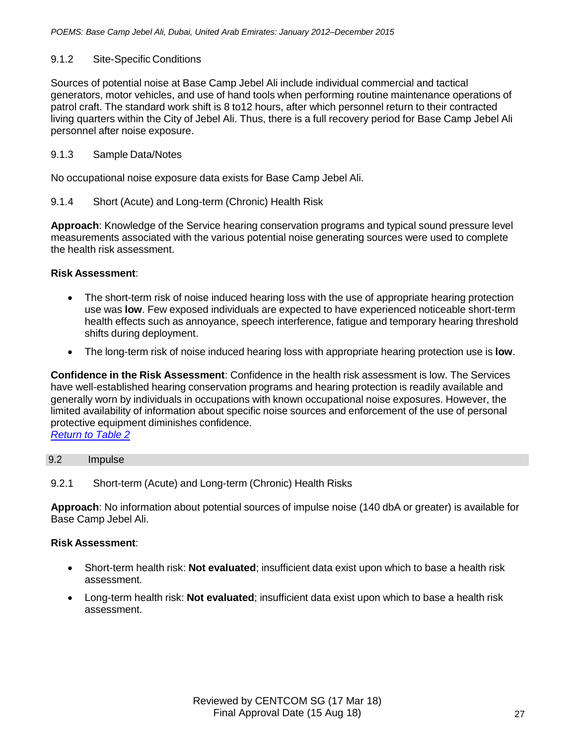# 9.1.2 Site-Specific Conditions

Sources of potential noise at Base Camp Jebel Ali include individual commercial and tactical generators, motor vehicles, and use of hand tools when performing routine maintenance operations of patrol craft. The standard work shift is 8 to12 hours, after which personnel return to their contracted living quarters within the City of Jebel Ali. Thus, there is a full recovery period for Base Camp Jebel Ali personnel after noise exposure.

# 9.1.3 Sample Data/Notes

No occupational noise exposure data exists for Base Camp Jebel Ali.

# 9.1.4 Short (Acute) and Long-term (Chronic) Health Risk

**Approach**: Knowledge of the Service hearing conservation programs and typical sound pressure level measurements associated with the various potential noise generating sources were used to complete the health risk assessment.

# **Risk Assessment**:

- The short-term risk of noise induced hearing loss with the use of appropriate hearing protection use was **low**. Few exposed individuals are expected to have experienced noticeable short-term health effects such as annoyance, speech interference, fatigue and temporary hearing threshold shifts during deployment.
- The long-term risk of noise induced hearing loss with appropriate hearing protection use is **low**.

**Confidence in the Risk Assessment**: Confidence in the health risk assessment is low. The Services have well-established hearing conservation programs and hearing protection is readily available and generally worn by individuals in occupations with known occupational noise exposures. However, the limited availability of information about specific noise sources and enforcement of the use of personal protective equipment diminishes confidence. *Return to Table 2*

## 9.2 Impulse

# 9.2.1 Short-term (Acute) and Long-term (Chronic) Health Risks

**Approach**: No information about potential sources of impulse noise (140 dbA or greater) is available for Base Camp Jebel Ali.

## **Risk Assessment**:

- Short-term health risk: **Not evaluated**; insufficient data exist upon which to base a health risk assessment.
- Long-term health risk: **Not evaluated**; insufficient data exist upon which to base a health risk assessment.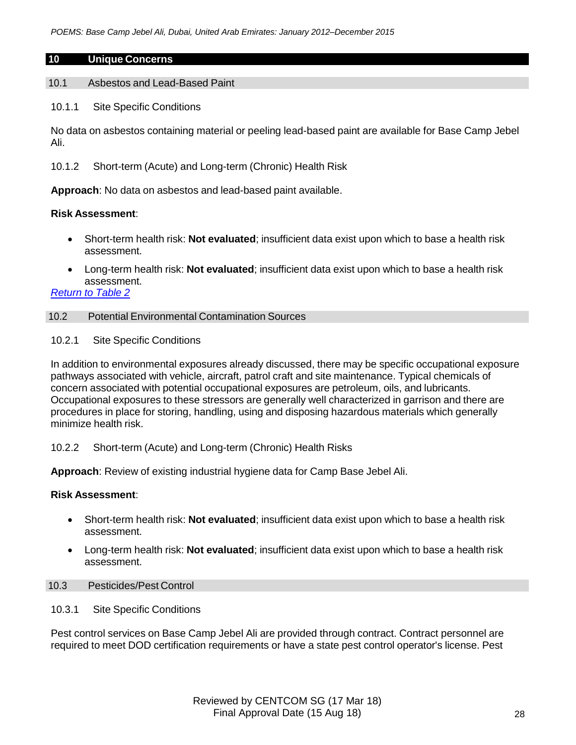### **10 Unique Concerns**

10.1 Asbestos and Lead-Based Paint

10.1.1 Site Specific Conditions

No data on asbestos containing material or peeling lead-based paint are available for Base Camp Jebel Ali.

10.1.2 Short-term (Acute) and Long-term (Chronic) Health Risk

**Approach**: No data on asbestos and lead-based paint available.

## **Risk Assessment**:

- Short-term health risk: **Not evaluated**; insufficient data exist upon which to base a health risk assessment.
- Long-term health risk: **Not evaluated**; insufficient data exist upon which to base a health risk assessment.

# *Return to Table 2*

## 10.2 Potential Environmental Contamination Sources

10.2.1 Site Specific Conditions

In addition to environmental exposures already discussed, there may be specific occupational exposure pathways associated with vehicle, aircraft, patrol craft and site maintenance. Typical chemicals of concern associated with potential occupational exposures are petroleum, oils, and lubricants. Occupational exposures to these stressors are generally well characterized in garrison and there are procedures in place for storing, handling, using and disposing hazardous materials which generally minimize health risk.

10.2.2 Short-term (Acute) and Long-term (Chronic) Health Risks

**Approach**: Review of existing industrial hygiene data for Camp Base Jebel Ali.

## **Risk Assessment**:

- Short-term health risk: **Not evaluated**; insufficient data exist upon which to base a health risk assessment.
- Long-term health risk: **Not evaluated**; insufficient data exist upon which to base a health risk assessment.

# 10.3 Pesticides/Pest Control

10.3.1 Site Specific Conditions

Pest control services on Base Camp Jebel Ali are provided through contract. Contract personnel are required to meet DOD certification requirements or have a state pest control operator's license. Pest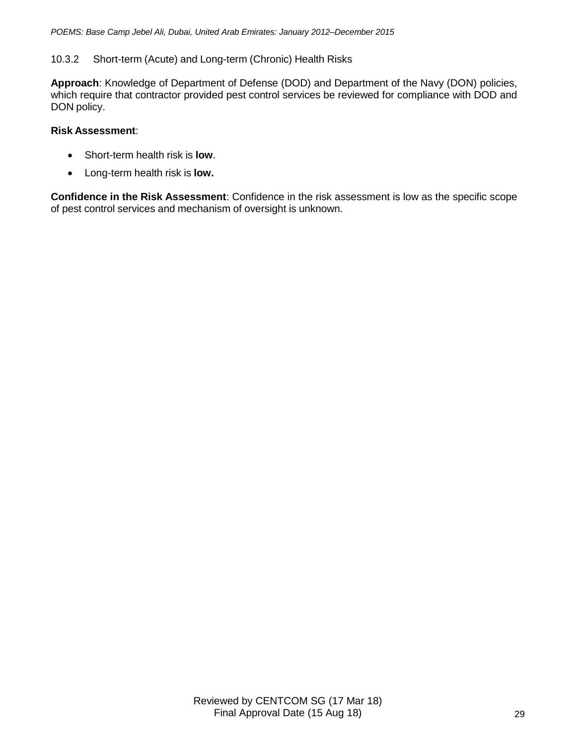# 10.3.2 Short-term (Acute) and Long-term (Chronic) Health Risks

**Approach**: Knowledge of Department of Defense (DOD) and Department of the Navy (DON) policies, which require that contractor provided pest control services be reviewed for compliance with DOD and DON policy.

## **Risk Assessment**:

- Short-term health risk is **low**.
- Long-term health risk is **low.**

**Confidence in the Risk Assessment**: Confidence in the risk assessment is low as the specific scope of pest control services and mechanism of oversight is unknown.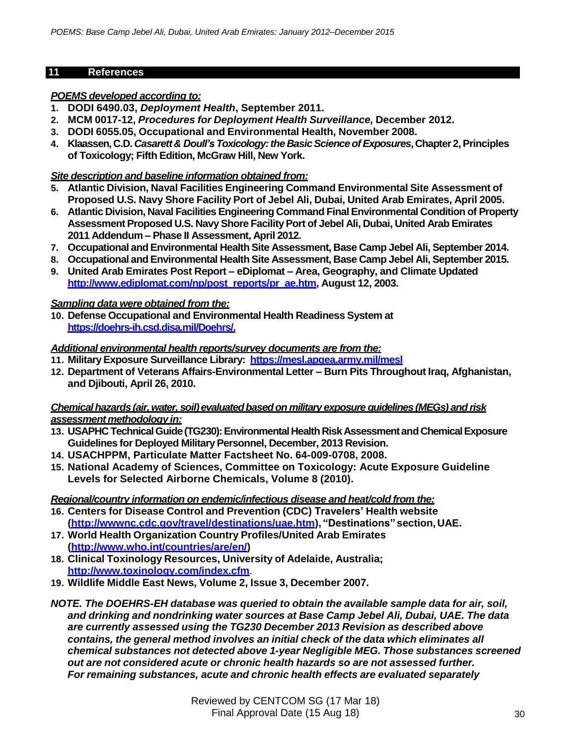## **11 References**

## *POEMS developed according to:*

- **1. DODI 6490.03,** *Deployment Health***, September 2011.**
- **2. MCM 0017-12,** *Procedures for Deployment Health Surveillance,* **December 2012.**
- **3. DODI 6055.05, Occupational and Environmental Health, November 2008.**
- **4. Klaassen, C.D.** *Casarett& Doull's Toxicology:the BasicScienceofExposures***,Chapter 2,Principles of Toxicology; Fifth Edition, McGraw Hill, New York.**

# *Site description and baseline information obtained from:*

- **5. Atlantic Division, Naval Facilities Engineering Command Environmental Site Assessment of Proposed U.S. Navy Shore Facility Port of Jebel Ali, Dubai, United Arab Emirates, April 2005.**
- **6. Atlantic Division, Naval Facilities Engineering Command Final Environmental Condition of Property Assessment Proposed U.S. NavyShore FacilityPort of Jebel Ali, Dubai, United Arab Emirates 2011 Addendum – Phase II Assessment, April 2012.**
- **7. Occupational and Environmental Health Site Assessment, Base Camp Jebel Ali, September 2014.**
- **8. Occupational and Environmental Health Site Assessment, Base Camp Jebel Ali, September 2015.**
- **9. United Arab Emirates Post Report – eDiplomat – Area, Geography, and Climate Updated [http://www.ediplomat.com/np/post\\_reports/pr\\_ae.htm,](http://www.ediplomat.com/np/post_reports/pr_ae.htm) August 12, 2003.**

## *Sampling data were obtained from the:*

**10. Defense Occupational and Environmental Health Readiness System at https://doehrs-ih.csd.disa.mil/Doehrs/.**

## *Additional environmental health reports/survey documents are from the:*

- **11. MilitaryExposure Surveillance Library: https://mesl.apgea.army.mil/mesl**
- **12. Department of Veterans Affairs-Environmental Letter – Burn Pits Throughout Iraq, Afghanistan, and Djibouti, April 26, 2010.**

## *Chemicalhazards (air,water, soil)evaluatedbasedon military exposure guidelines (MEGs) and risk assessmentmethodology in:*

- **13. USAPHC TechnicalGuide(TG230):EnvironmentalHealthRiskAssessmentand ChemicalExposure Guidelines for Deployed MilitaryPersonnel, December, 2013 Revision.**
- **14. USACHPPM, Particulate Matter Factsheet No. 64-009-0708, 2008.**
- **15. National Academy of Sciences, Committee on Toxicology: Acute Exposure Guideline Levels for Selected Airborne Chemicals, Volume 8 (2010).**

# *Regional/country information on endemic/infectious disease and heat/cold from the:*

- **16. Centers for Disease Control and Prevention (CDC) Travelers' Health website [\(http://wwwnc.cdc.gov/travel/destinations/uae.htm\),](http://wwwnc.cdc.gov/travel/destinations/uae.htm)) "Destinations" section, UAE.**
- **17. World Health Organization Country Profiles/United Arab Emirates [\(http://www.who.int/countries/are/en/\)](http://www.who.int/countries/are/en/))**
- **18. Clinical Toxinology Resources, University of Adelaide, Australia; <http://www.toxinology.com/index.cfm>**.
- **19. Wildlife Middle East News, Volume 2, Issue 3, December 2007.**
- *NOTE. The DOEHRS-EH database was queried to obtain the available sample data for air, soil, and drinking and nondrinking water sources at Base Camp Jebel Ali, Dubai, UAE. The data are currently assessed using the TG230 December 2013 Revision as described above contains, the general method involves an initial check of the data which eliminates all chemical substances not detected above 1-year Negligible MEG. Those substances screened out are not considered acute or chronic health hazards so are not assessed further. For remaining substances, acute and chronic health effects are evaluated separately*